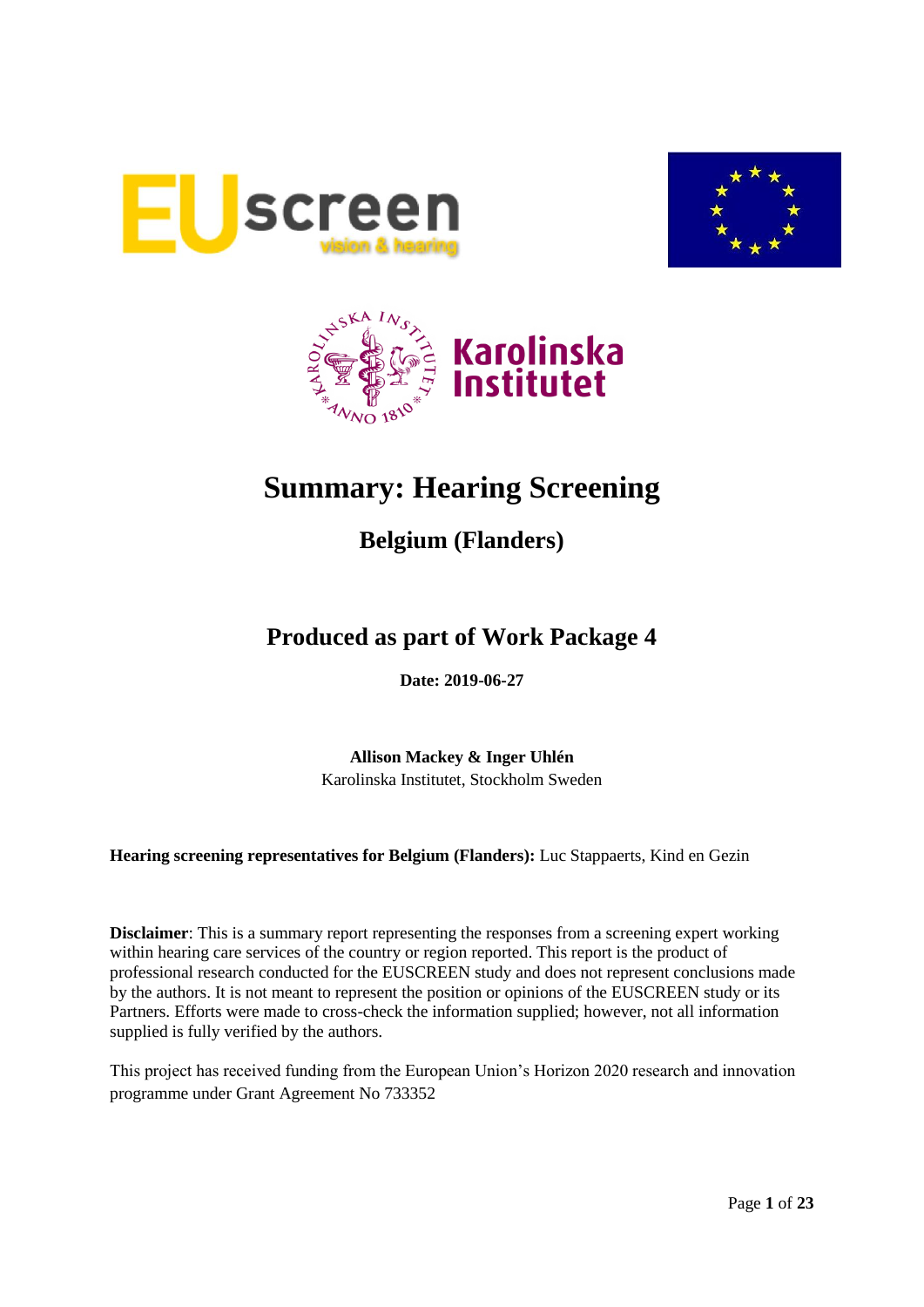





# **Summary: Hearing Screening**

## **Belgium (Flanders)**

## **Produced as part of Work Package 4**

**Date: 2019-06-27**

**Allison Mackey & Inger Uhlén** Karolinska Institutet, Stockholm Sweden

**Hearing screening representatives for Belgium (Flanders):** Luc Stappaerts, Kind en Gezin

**Disclaimer**: This is a summary report representing the responses from a screening expert working within hearing care services of the country or region reported. This report is the product of professional research conducted for the EUSCREEN study and does not represent conclusions made by the authors. It is not meant to represent the position or opinions of the EUSCREEN study or its Partners. Efforts were made to cross-check the information supplied; however, not all information supplied is fully verified by the authors.

This project has received funding from the European Union's Horizon 2020 research and innovation programme under Grant Agreement No 733352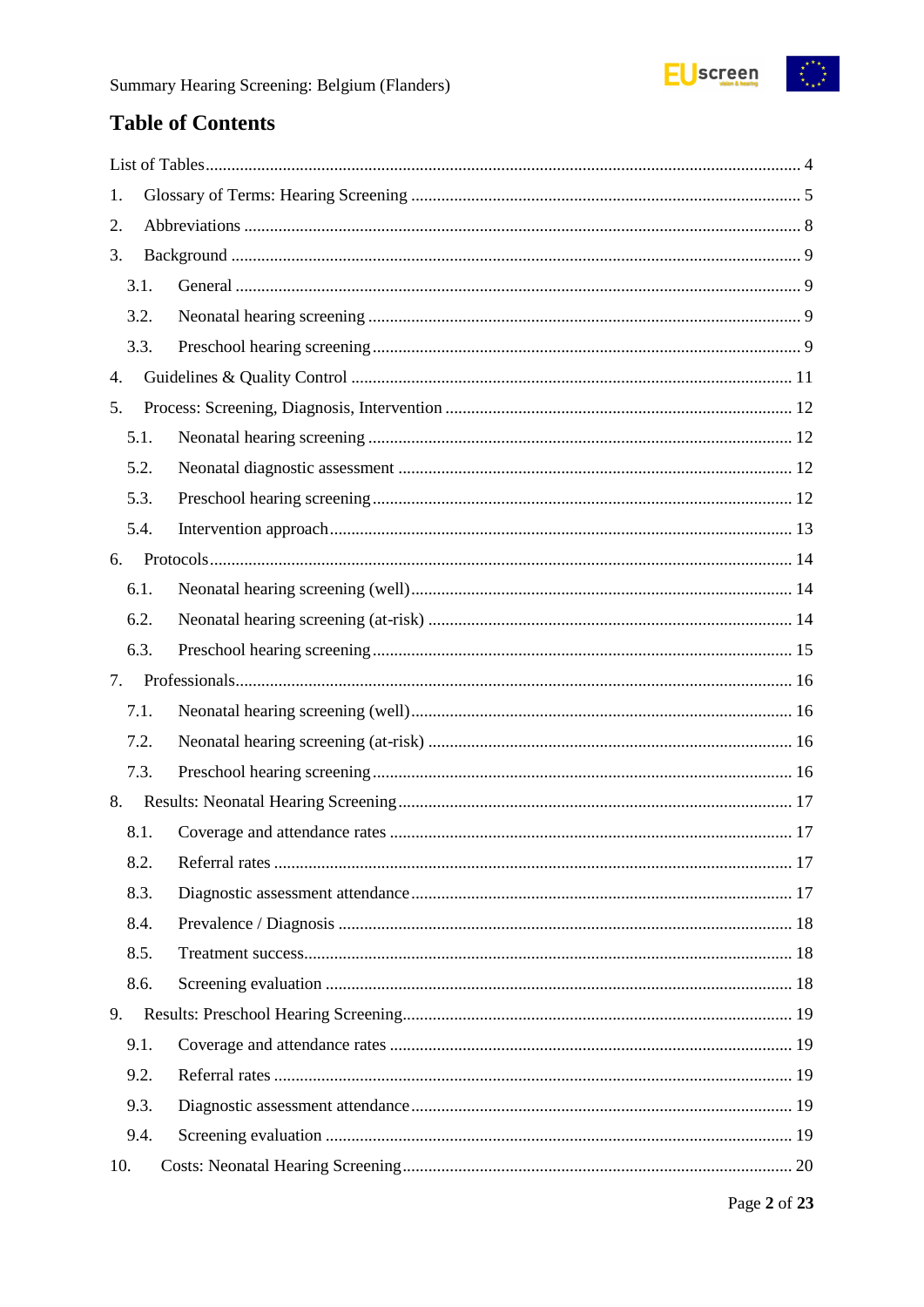

## **Table of Contents**

| 1.   |  |
|------|--|
| 2.   |  |
| 3.   |  |
| 3.1. |  |
| 3.2. |  |
| 3.3. |  |
| 4.   |  |
| 5.   |  |
| 5.1. |  |
| 5.2. |  |
| 5.3. |  |
| 5.4. |  |
| 6.   |  |
| 6.1. |  |
| 6.2. |  |
| 6.3. |  |
| 7.   |  |
| 7.1. |  |
| 7.2. |  |
| 7.3. |  |
| 8.   |  |
| 8.1. |  |
| 8.2. |  |
| 8.3. |  |
| 8.4. |  |
| 8.5. |  |
| 8.6. |  |
| 9.   |  |
| 9.1. |  |
| 9.2. |  |
| 9.3. |  |
| 9.4. |  |
| 10.  |  |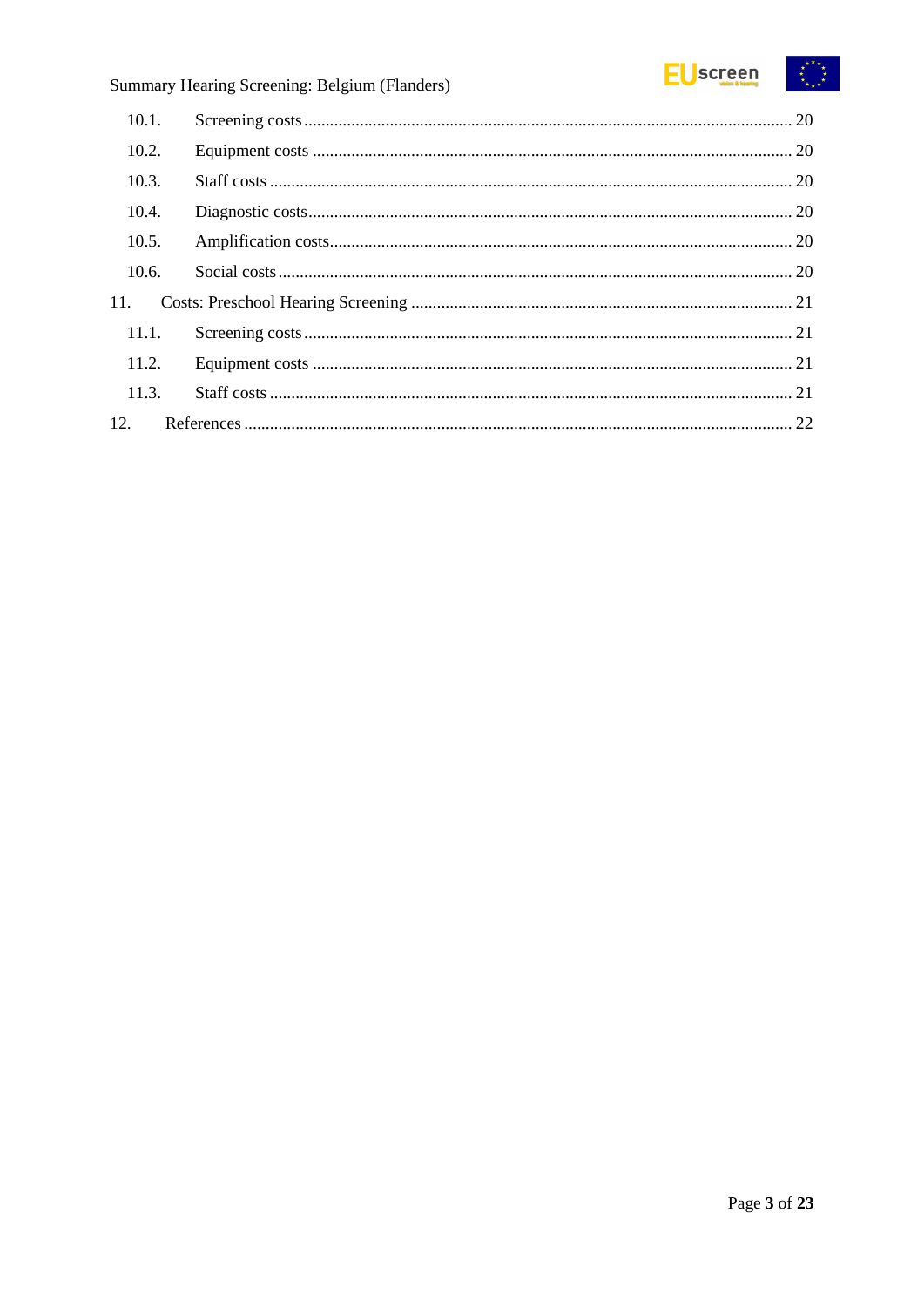#### EUscreen  $\begin{array}{c} \mathbf{x}^{*}\mathbf{x}^{*}\\ \mathbf{x}^{*}\mathbf{x}^{*}\\ \mathbf{x}^{*}\mathbf{x}^{*} \end{array}$

## Summary Hearing Screening: Belgium (Flanders)

| 10.1. |  |
|-------|--|
| 10.2. |  |
| 10.3. |  |
| 10.4. |  |
| 10.5. |  |
| 10.6. |  |
| 11.   |  |
| 11.1. |  |
| 11.2. |  |
| 11.3. |  |
| 12.   |  |
|       |  |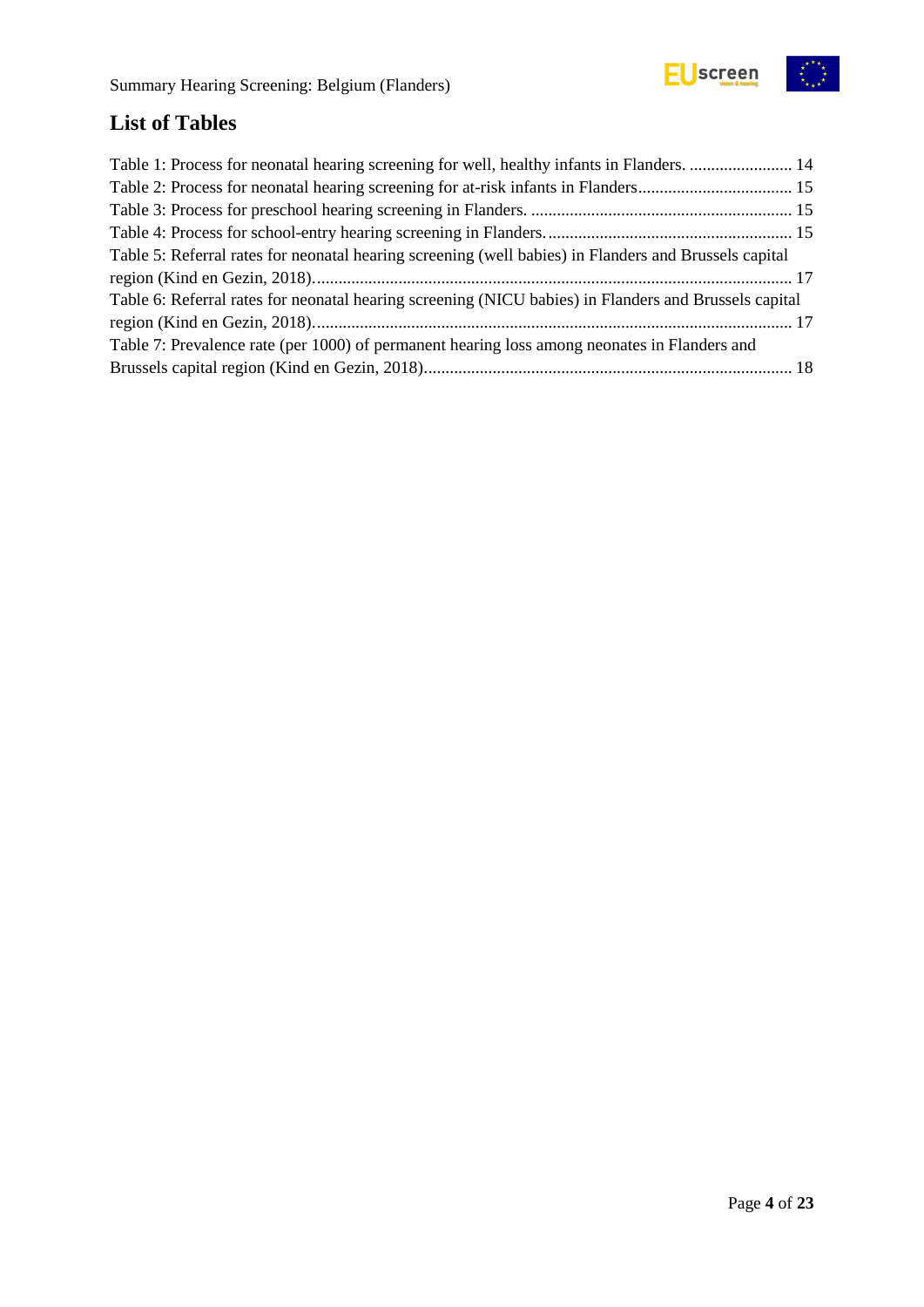## <span id="page-3-0"></span>**List of Tables**

| Table 1: Process for neonatal hearing screening for well, healthy infants in Flanders.  14            |  |
|-------------------------------------------------------------------------------------------------------|--|
|                                                                                                       |  |
|                                                                                                       |  |
|                                                                                                       |  |
| Table 5: Referral rates for neonatal hearing screening (well babies) in Flanders and Brussels capital |  |
|                                                                                                       |  |
| Table 6: Referral rates for neonatal hearing screening (NICU babies) in Flanders and Brussels capital |  |
|                                                                                                       |  |
| Table 7: Prevalence rate (per 1000) of permanent hearing loss among neonates in Flanders and          |  |
|                                                                                                       |  |
|                                                                                                       |  |

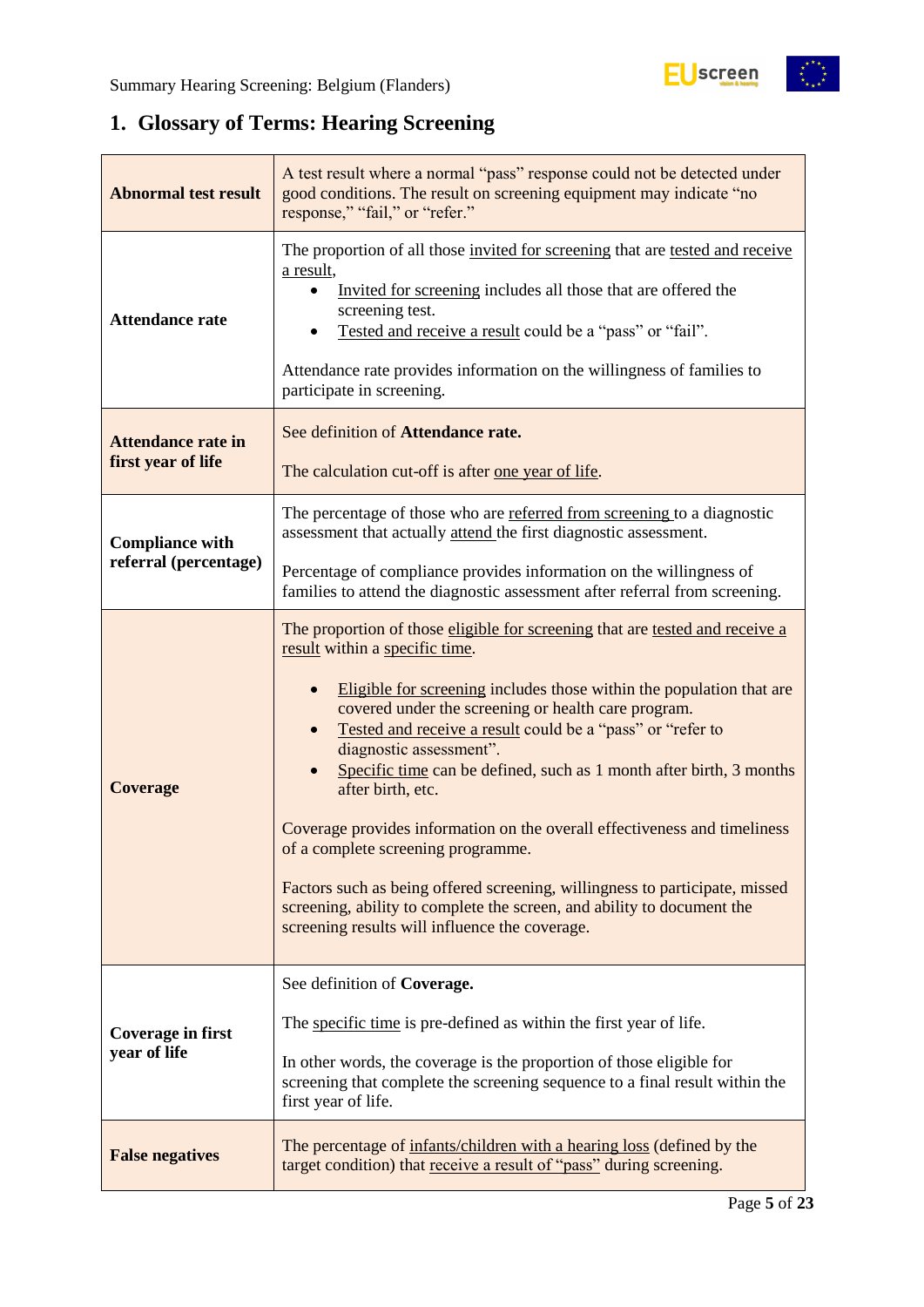$\begin{matrix} \star^{\star} & \star \\ \star & \star \end{matrix}$ 

## <span id="page-4-0"></span>**1. Glossary of Terms: Hearing Screening**

| A test result where a normal "pass" response could not be detected under<br><b>Abnormal test result</b><br>good conditions. The result on screening equipment may indicate "no<br>response," "fail," or "refer." |                                                                                                                                                                                                                                                                                                                                                                                                                                                                                                                                                                                                                                                                                                                                                                  |  |  |
|------------------------------------------------------------------------------------------------------------------------------------------------------------------------------------------------------------------|------------------------------------------------------------------------------------------------------------------------------------------------------------------------------------------------------------------------------------------------------------------------------------------------------------------------------------------------------------------------------------------------------------------------------------------------------------------------------------------------------------------------------------------------------------------------------------------------------------------------------------------------------------------------------------------------------------------------------------------------------------------|--|--|
| <b>Attendance rate</b>                                                                                                                                                                                           | The proportion of all those invited for screening that are tested and receive<br>a result,<br>Invited for screening includes all those that are offered the<br>screening test.<br>Tested and receive a result could be a "pass" or "fail".<br>Attendance rate provides information on the willingness of families to<br>participate in screening.                                                                                                                                                                                                                                                                                                                                                                                                                |  |  |
| See definition of Attendance rate.<br><b>Attendance rate in</b><br>first year of life<br>The calculation cut-off is after one year of life.                                                                      |                                                                                                                                                                                                                                                                                                                                                                                                                                                                                                                                                                                                                                                                                                                                                                  |  |  |
| <b>Compliance with</b>                                                                                                                                                                                           | The percentage of those who are referred from screening to a diagnostic<br>assessment that actually attend the first diagnostic assessment.                                                                                                                                                                                                                                                                                                                                                                                                                                                                                                                                                                                                                      |  |  |
| referral (percentage)                                                                                                                                                                                            | Percentage of compliance provides information on the willingness of<br>families to attend the diagnostic assessment after referral from screening.                                                                                                                                                                                                                                                                                                                                                                                                                                                                                                                                                                                                               |  |  |
| <b>Coverage</b>                                                                                                                                                                                                  | The proportion of those eligible for screening that are tested and receive a<br>result within a specific time.<br>Eligible for screening includes those within the population that are<br>covered under the screening or health care program.<br>Tested and receive a result could be a "pass" or "refer to<br>diagnostic assessment".<br>Specific time can be defined, such as 1 month after birth, 3 months<br>after birth, etc.<br>Coverage provides information on the overall effectiveness and timeliness<br>of a complete screening programme.<br>Factors such as being offered screening, willingness to participate, missed<br>screening, ability to complete the screen, and ability to document the<br>screening results will influence the coverage. |  |  |
| Coverage in first<br>year of life                                                                                                                                                                                | See definition of Coverage.<br>The specific time is pre-defined as within the first year of life.<br>In other words, the coverage is the proportion of those eligible for<br>screening that complete the screening sequence to a final result within the<br>first year of life.                                                                                                                                                                                                                                                                                                                                                                                                                                                                                  |  |  |
| <b>False negatives</b>                                                                                                                                                                                           | The percentage of infants/children with a hearing loss (defined by the<br>target condition) that receive a result of "pass" during screening.                                                                                                                                                                                                                                                                                                                                                                                                                                                                                                                                                                                                                    |  |  |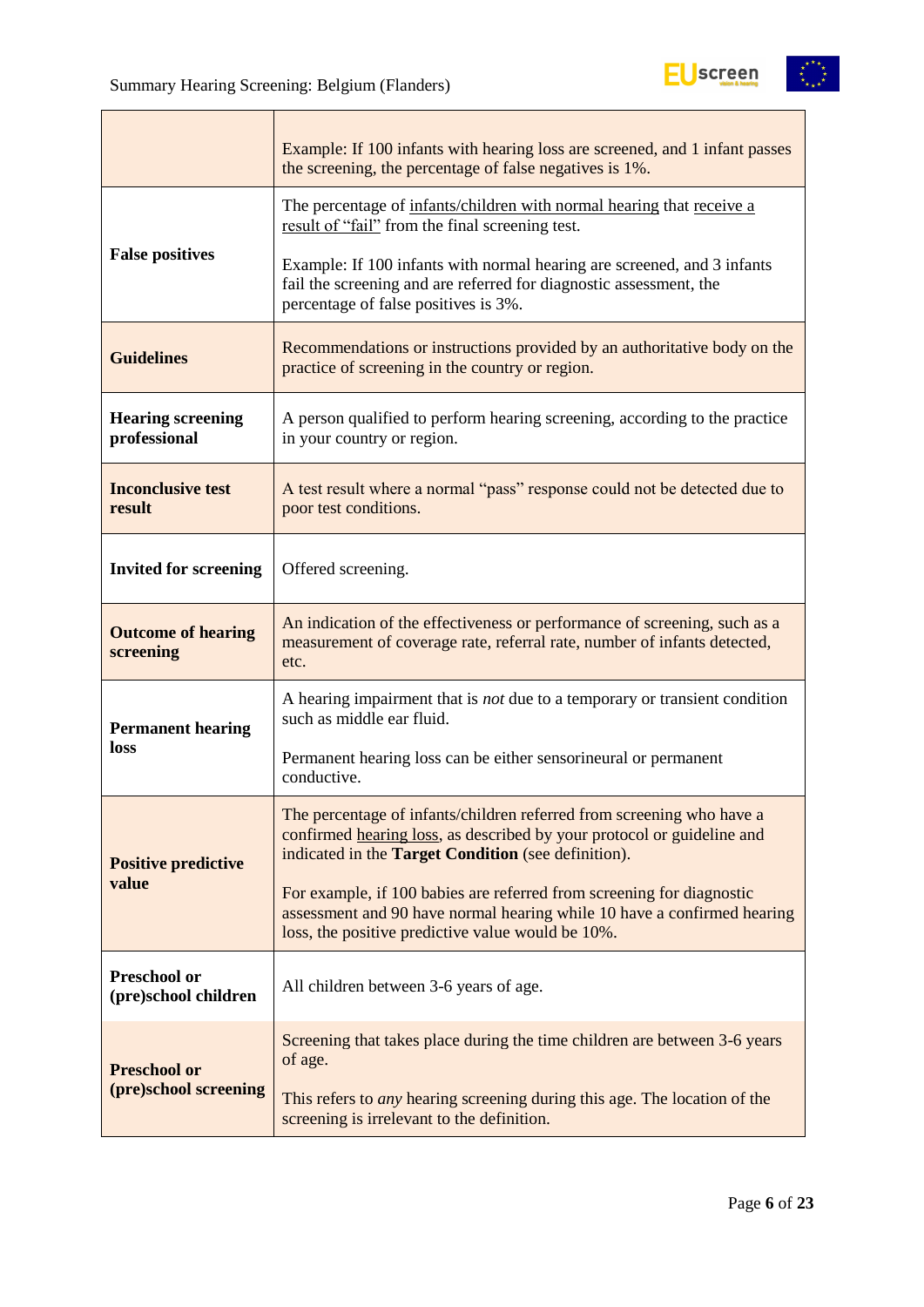|                                             | Example: If 100 infants with hearing loss are screened, and 1 infant passes<br>the screening, the percentage of false negatives is 1%.                                                                        |  |  |  |
|---------------------------------------------|---------------------------------------------------------------------------------------------------------------------------------------------------------------------------------------------------------------|--|--|--|
|                                             | The percentage of infants/children with normal hearing that receive a<br>result of "fail" from the final screening test.                                                                                      |  |  |  |
| <b>False positives</b>                      | Example: If 100 infants with normal hearing are screened, and 3 infants<br>fail the screening and are referred for diagnostic assessment, the<br>percentage of false positives is 3%.                         |  |  |  |
| <b>Guidelines</b>                           | Recommendations or instructions provided by an authoritative body on the<br>practice of screening in the country or region.                                                                                   |  |  |  |
| <b>Hearing screening</b><br>professional    | A person qualified to perform hearing screening, according to the practice<br>in your country or region.                                                                                                      |  |  |  |
| <b>Inconclusive test</b><br>result          | A test result where a normal "pass" response could not be detected due to<br>poor test conditions.                                                                                                            |  |  |  |
| <b>Invited for screening</b>                | Offered screening.                                                                                                                                                                                            |  |  |  |
| <b>Outcome of hearing</b><br>screening      | An indication of the effectiveness or performance of screening, such as a<br>measurement of coverage rate, referral rate, number of infants detected,<br>etc.                                                 |  |  |  |
| <b>Permanent hearing</b>                    | A hearing impairment that is <i>not</i> due to a temporary or transient condition<br>such as middle ear fluid.                                                                                                |  |  |  |
| loss                                        | Permanent hearing loss can be either sensorineural or permanent<br>conductive.                                                                                                                                |  |  |  |
| <b>Positive predictive</b>                  | The percentage of infants/children referred from screening who have a<br>confirmed hearing loss, as described by your protocol or guideline and<br>indicated in the <b>Target Condition</b> (see definition). |  |  |  |
| value                                       | For example, if 100 babies are referred from screening for diagnostic<br>assessment and 90 have normal hearing while 10 have a confirmed hearing<br>loss, the positive predictive value would be 10%.         |  |  |  |
| <b>Preschool or</b><br>(pre)school children | All children between 3-6 years of age.                                                                                                                                                                        |  |  |  |
| <b>Preschool or</b>                         | Screening that takes place during the time children are between 3-6 years<br>of age.                                                                                                                          |  |  |  |
| (pre)school screening                       | This refers to <i>any</i> hearing screening during this age. The location of the<br>screening is irrelevant to the definition.                                                                                |  |  |  |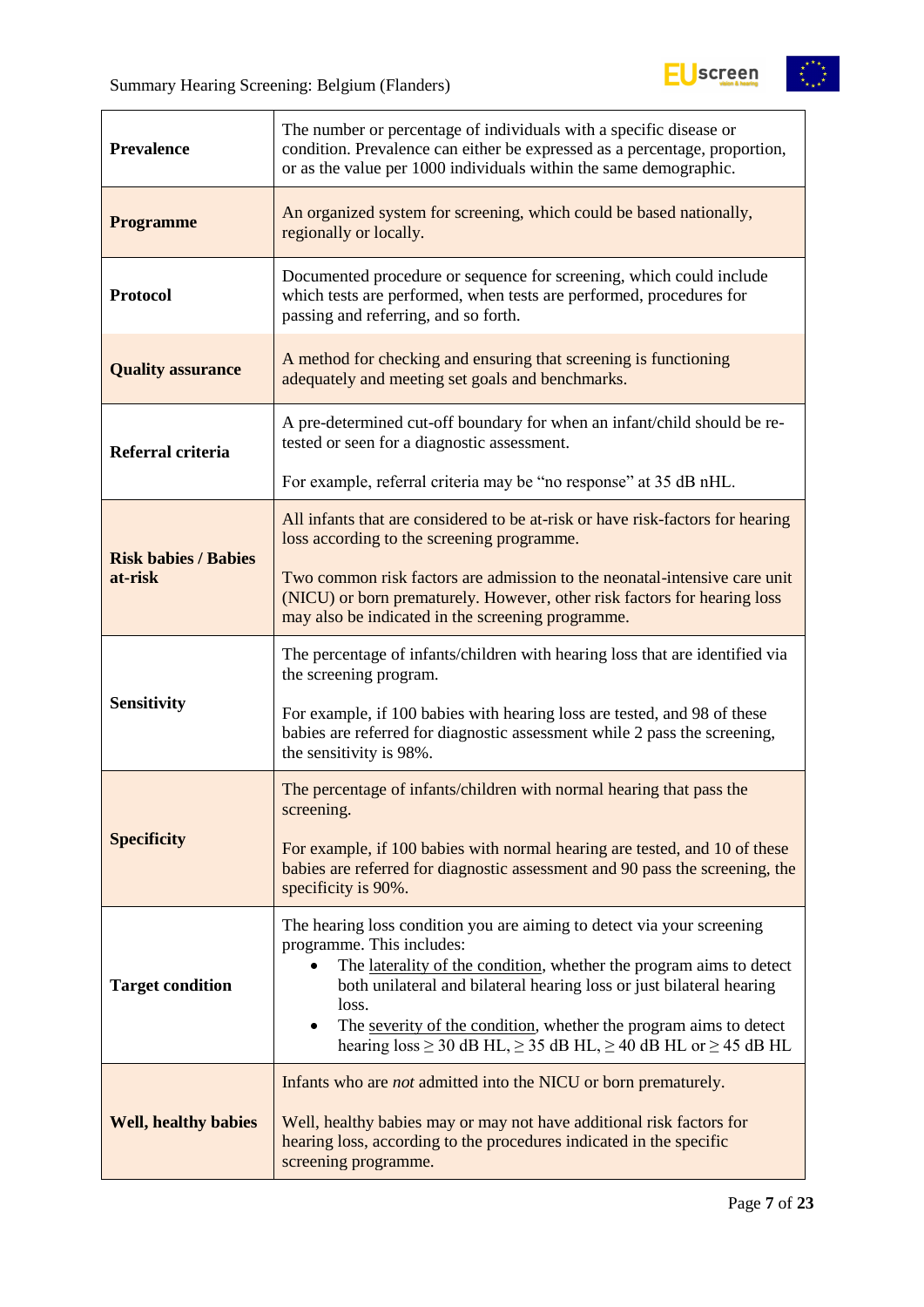$\mathbf{r}$ 



| <b>Prevalence</b>                                                                                                                                | The number or percentage of individuals with a specific disease or<br>condition. Prevalence can either be expressed as a percentage, proportion,<br>or as the value per 1000 individuals within the same demographic.                                                                                                                                                                                                          |  |  |  |
|--------------------------------------------------------------------------------------------------------------------------------------------------|--------------------------------------------------------------------------------------------------------------------------------------------------------------------------------------------------------------------------------------------------------------------------------------------------------------------------------------------------------------------------------------------------------------------------------|--|--|--|
| <b>Programme</b>                                                                                                                                 | An organized system for screening, which could be based nationally,<br>regionally or locally.                                                                                                                                                                                                                                                                                                                                  |  |  |  |
| <b>Protocol</b>                                                                                                                                  | Documented procedure or sequence for screening, which could include<br>which tests are performed, when tests are performed, procedures for<br>passing and referring, and so forth.                                                                                                                                                                                                                                             |  |  |  |
| A method for checking and ensuring that screening is functioning<br><b>Quality assurance</b><br>adequately and meeting set goals and benchmarks. |                                                                                                                                                                                                                                                                                                                                                                                                                                |  |  |  |
| Referral criteria                                                                                                                                | A pre-determined cut-off boundary for when an infant/child should be re-<br>tested or seen for a diagnostic assessment.                                                                                                                                                                                                                                                                                                        |  |  |  |
|                                                                                                                                                  | For example, referral criteria may be "no response" at 35 dB nHL.                                                                                                                                                                                                                                                                                                                                                              |  |  |  |
| <b>Risk babies / Babies</b>                                                                                                                      | All infants that are considered to be at-risk or have risk-factors for hearing<br>loss according to the screening programme.                                                                                                                                                                                                                                                                                                   |  |  |  |
| at-risk                                                                                                                                          | Two common risk factors are admission to the neonatal-intensive care unit<br>(NICU) or born prematurely. However, other risk factors for hearing loss<br>may also be indicated in the screening programme.                                                                                                                                                                                                                     |  |  |  |
|                                                                                                                                                  | The percentage of infants/children with hearing loss that are identified via<br>the screening program.                                                                                                                                                                                                                                                                                                                         |  |  |  |
| <b>Sensitivity</b>                                                                                                                               | For example, if 100 babies with hearing loss are tested, and 98 of these<br>babies are referred for diagnostic assessment while 2 pass the screening,<br>the sensitivity is 98%.                                                                                                                                                                                                                                               |  |  |  |
|                                                                                                                                                  | The percentage of infants/children with normal hearing that pass the<br>screening.                                                                                                                                                                                                                                                                                                                                             |  |  |  |
| <b>Specificity</b>                                                                                                                               | For example, if 100 babies with normal hearing are tested, and 10 of these<br>babies are referred for diagnostic assessment and 90 pass the screening, the<br>specificity is 90%.                                                                                                                                                                                                                                              |  |  |  |
| <b>Target condition</b>                                                                                                                          | The hearing loss condition you are aiming to detect via your screening<br>programme. This includes:<br>The laterality of the condition, whether the program aims to detect<br>both unilateral and bilateral hearing loss or just bilateral hearing<br>loss.<br>The severity of the condition, whether the program aims to detect<br>$\bullet$<br>hearing $loss \ge 30$ dB HL, $\ge 35$ dB HL, $\ge 40$ dB HL or $\ge 45$ dB HL |  |  |  |
|                                                                                                                                                  |                                                                                                                                                                                                                                                                                                                                                                                                                                |  |  |  |
| <b>Well, healthy babies</b>                                                                                                                      | Infants who are <i>not</i> admitted into the NICU or born prematurely.<br>Well, healthy babies may or may not have additional risk factors for<br>hearing loss, according to the procedures indicated in the specific<br>screening programme.                                                                                                                                                                                  |  |  |  |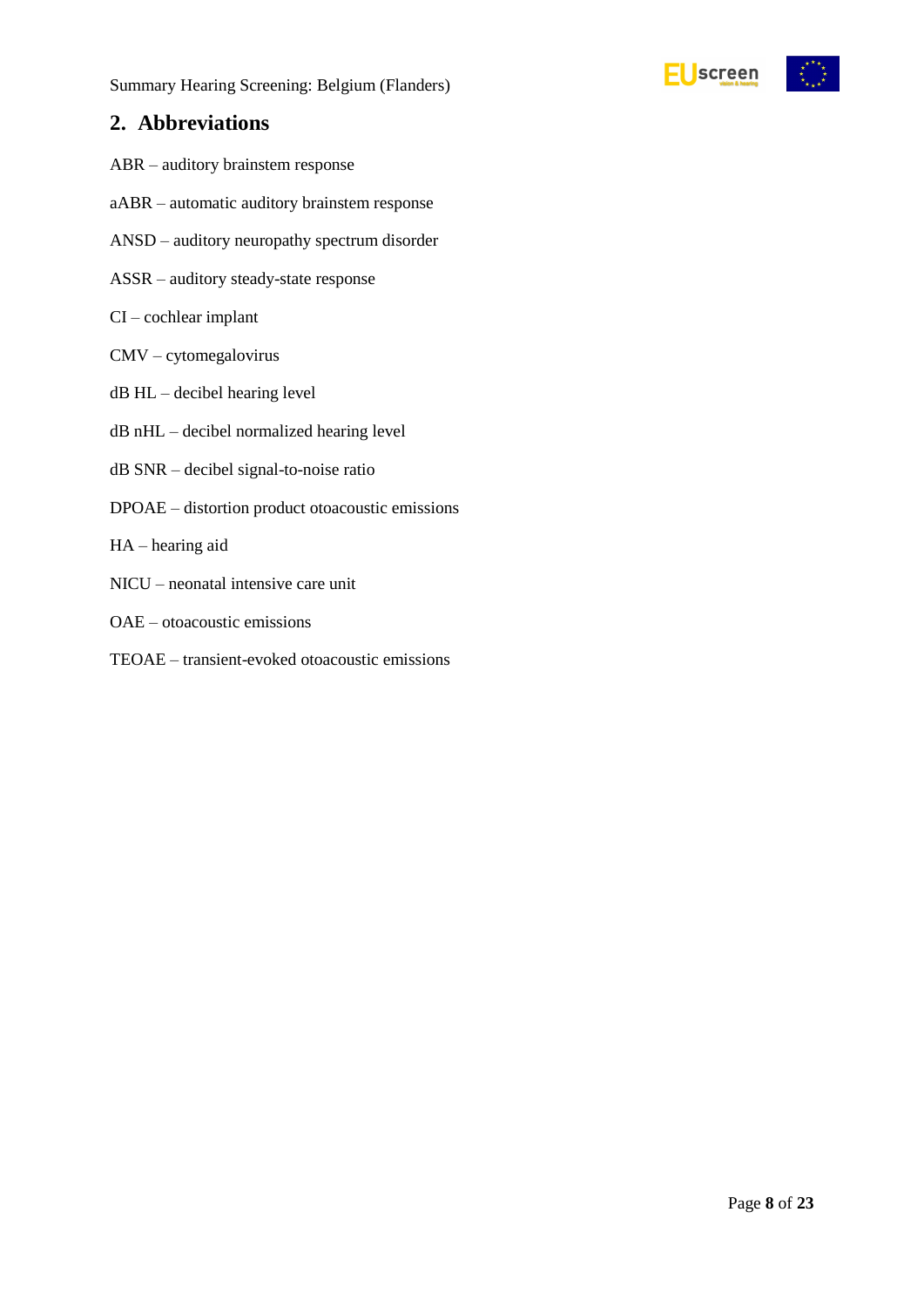## <span id="page-7-0"></span>**2. Abbreviations**

- ABR auditory brainstem response
- aABR automatic auditory brainstem response
- ANSD auditory neuropathy spectrum disorder
- ASSR auditory steady-state response
- CI cochlear implant
- CMV cytomegalovirus
- dB HL decibel hearing level
- dB nHL decibel normalized hearing level
- dB SNR decibel signal-to-noise ratio
- DPOAE distortion product otoacoustic emissions
- HA hearing aid
- NICU neonatal intensive care unit
- OAE otoacoustic emissions
- TEOAE transient-evoked otoacoustic emissions

EUscreen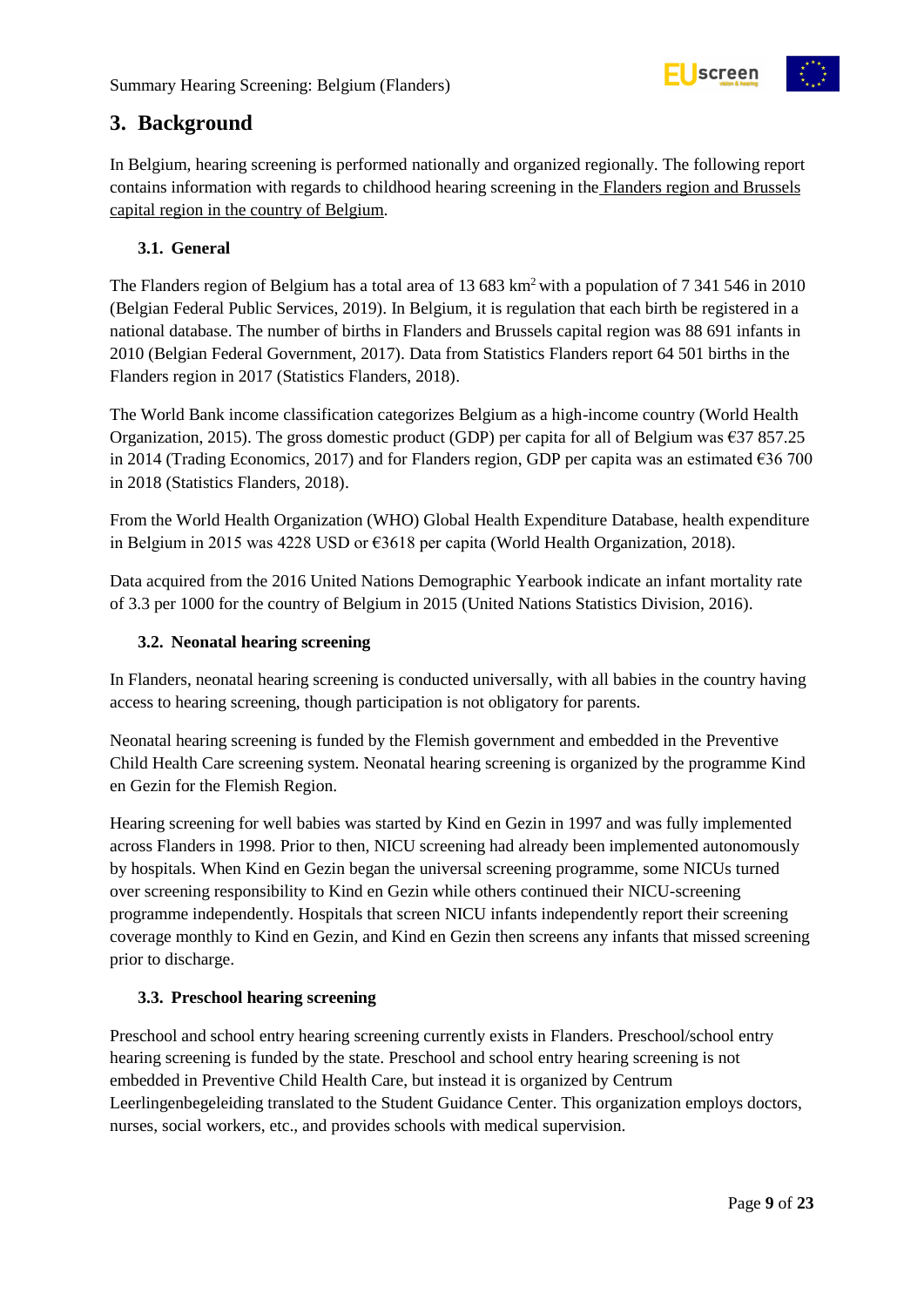

## <span id="page-8-0"></span>**3. Background**

In Belgium, hearing screening is performed nationally and organized regionally. The following report contains information with regards to childhood hearing screening in the Flanders region and Brussels capital region in the country of Belgium.

#### <span id="page-8-1"></span>**3.1. General**

The Flanders region of Belgium has a total area of 13 683 km<sup>2</sup> with a population of 7 341 546 in 2010 (Belgian Federal Public Services, 2019). In Belgium, it is regulation that each birth be registered in a national database. The number of births in Flanders and Brussels capital region was 88 691 infants in 2010 (Belgian Federal Government, 2017). Data from Statistics Flanders report 64 501 births in the Flanders region in 2017 (Statistics Flanders, 2018).

The World Bank income classification categorizes Belgium as a high-income country (World Health Organization, 2015). The gross domestic product (GDP) per capita for all of Belgium was  $\epsilon$ 37 857.25 in 2014 (Trading Economics, 2017) and for Flanders region, GDP per capita was an estimated €36 700 in 2018 (Statistics Flanders, 2018).

From the World Health Organization (WHO) Global Health Expenditure Database, health expenditure in Belgium in 2015 was 4228 USD or €3618 per capita (World Health Organization, 2018).

Data acquired from the 2016 United Nations Demographic Yearbook indicate an infant mortality rate of 3.3 per 1000 for the country of Belgium in 2015 (United Nations Statistics Division, 2016).

#### <span id="page-8-2"></span>**3.2. Neonatal hearing screening**

In Flanders, neonatal hearing screening is conducted universally, with all babies in the country having access to hearing screening, though participation is not obligatory for parents.

Neonatal hearing screening is funded by the Flemish government and embedded in the Preventive Child Health Care screening system. Neonatal hearing screening is organized by the programme Kind en Gezin for the Flemish Region.

Hearing screening for well babies was started by Kind en Gezin in 1997 and was fully implemented across Flanders in 1998. Prior to then, NICU screening had already been implemented autonomously by hospitals. When Kind en Gezin began the universal screening programme, some NICUs turned over screening responsibility to Kind en Gezin while others continued their NICU-screening programme independently. Hospitals that screen NICU infants independently report their screening coverage monthly to Kind en Gezin, and Kind en Gezin then screens any infants that missed screening prior to discharge.

#### <span id="page-8-3"></span>**3.3. Preschool hearing screening**

Preschool and school entry hearing screening currently exists in Flanders. Preschool/school entry hearing screening is funded by the state. Preschool and school entry hearing screening is not embedded in Preventive Child Health Care, but instead it is organized by Centrum Leerlingenbegeleiding translated to the Student Guidance Center. This organization employs doctors, nurses, social workers, etc., and provides schools with medical supervision.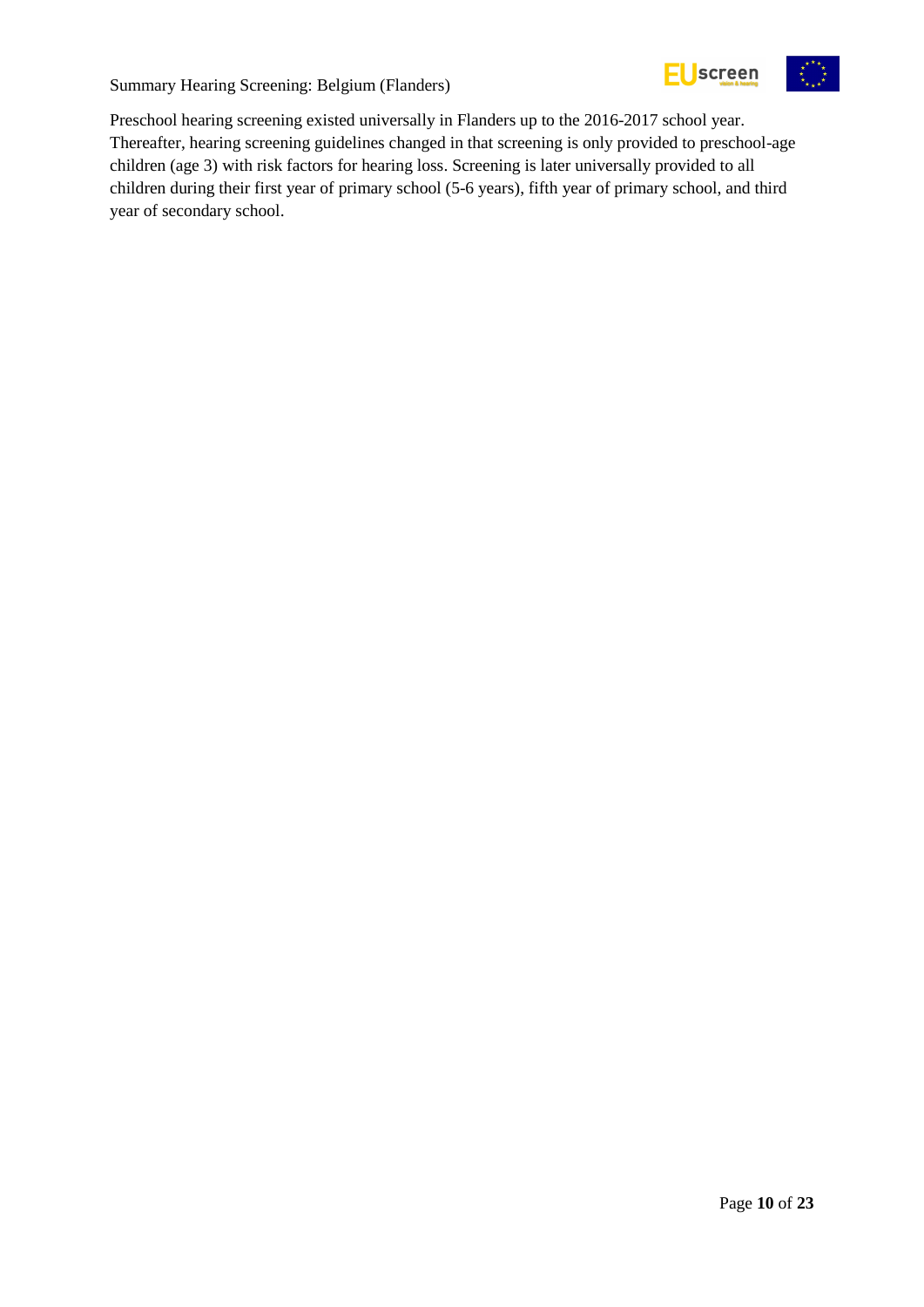

Preschool hearing screening existed universally in Flanders up to the 2016-2017 school year. Thereafter, hearing screening guidelines changed in that screening is only provided to preschool-age children (age 3) with risk factors for hearing loss. Screening is later universally provided to all children during their first year of primary school (5-6 years), fifth year of primary school, and third year of secondary school.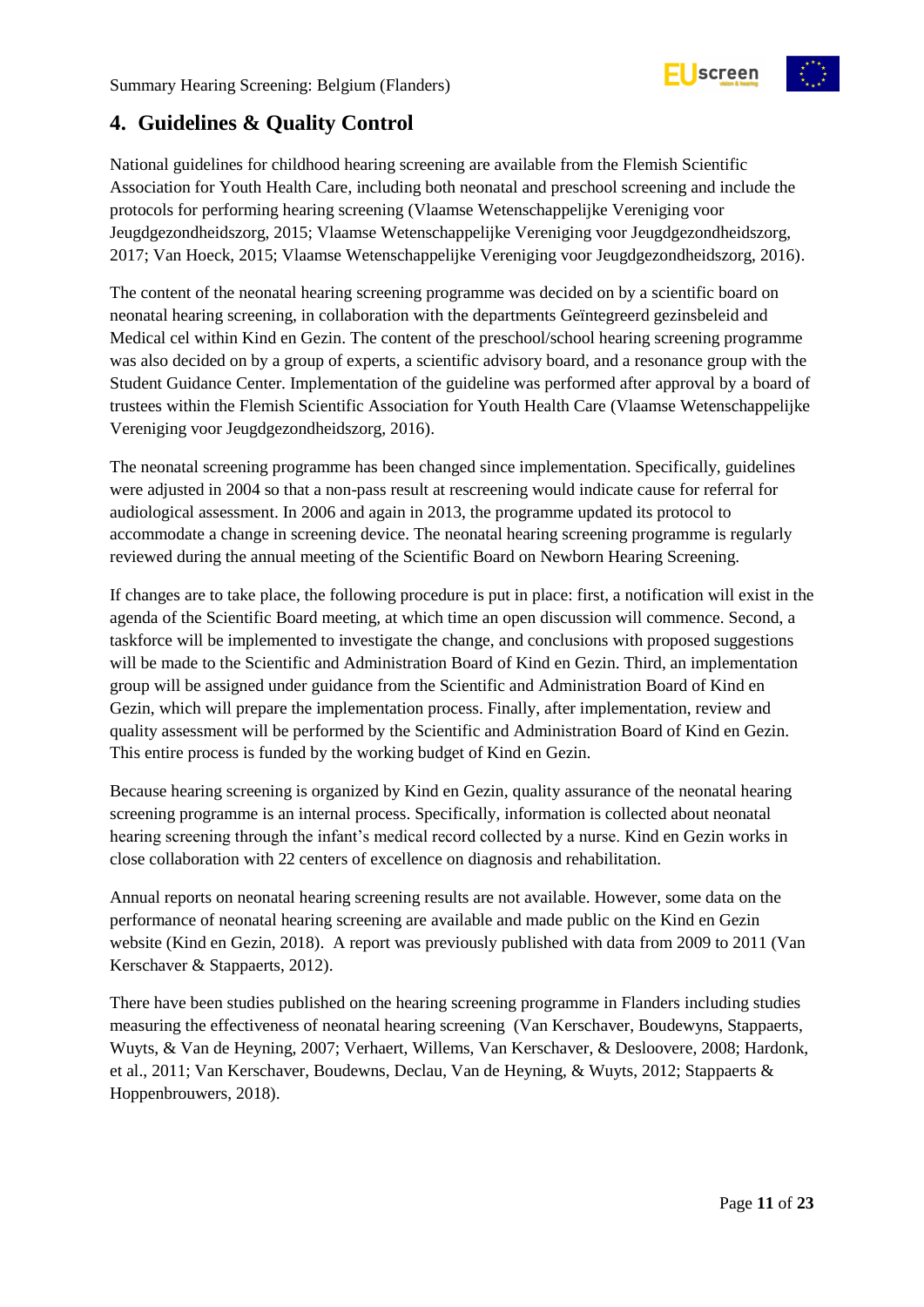

## <span id="page-10-0"></span>**4. Guidelines & Quality Control**

National guidelines for childhood hearing screening are available from the Flemish Scientific Association for Youth Health Care, including both neonatal and preschool screening and include the protocols for performing hearing screening (Vlaamse Wetenschappelijke Vereniging voor Jeugdgezondheidszorg, 2015; Vlaamse Wetenschappelijke Vereniging voor Jeugdgezondheidszorg, 2017; Van Hoeck, 2015; Vlaamse Wetenschappelijke Vereniging voor Jeugdgezondheidszorg, 2016).

The content of the neonatal hearing screening programme was decided on by a scientific board on neonatal hearing screening, in collaboration with the departments Geïntegreerd gezinsbeleid and Medical cel within Kind en Gezin. The content of the preschool/school hearing screening programme was also decided on by a group of experts, a scientific advisory board, and a resonance group with the Student Guidance Center. Implementation of the guideline was performed after approval by a board of trustees within the Flemish Scientific Association for Youth Health Care (Vlaamse Wetenschappelijke Vereniging voor Jeugdgezondheidszorg, 2016).

The neonatal screening programme has been changed since implementation. Specifically, guidelines were adjusted in 2004 so that a non-pass result at rescreening would indicate cause for referral for audiological assessment. In 2006 and again in 2013, the programme updated its protocol to accommodate a change in screening device. The neonatal hearing screening programme is regularly reviewed during the annual meeting of the Scientific Board on Newborn Hearing Screening.

If changes are to take place, the following procedure is put in place: first, a notification will exist in the agenda of the Scientific Board meeting, at which time an open discussion will commence. Second, a taskforce will be implemented to investigate the change, and conclusions with proposed suggestions will be made to the Scientific and Administration Board of Kind en Gezin. Third, an implementation group will be assigned under guidance from the Scientific and Administration Board of Kind en Gezin, which will prepare the implementation process. Finally, after implementation, review and quality assessment will be performed by the Scientific and Administration Board of Kind en Gezin. This entire process is funded by the working budget of Kind en Gezin.

Because hearing screening is organized by Kind en Gezin, quality assurance of the neonatal hearing screening programme is an internal process. Specifically, information is collected about neonatal hearing screening through the infant's medical record collected by a nurse. Kind en Gezin works in close collaboration with 22 centers of excellence on diagnosis and rehabilitation.

Annual reports on neonatal hearing screening results are not available. However, some data on the performance of neonatal hearing screening are available and made public on the Kind en Gezin website (Kind en Gezin, 2018). A report was previously published with data from 2009 to 2011 (Van Kerschaver & Stappaerts, 2012).

There have been studies published on the hearing screening programme in Flanders including studies measuring the effectiveness of neonatal hearing screening (Van Kerschaver, Boudewyns, Stappaerts, Wuyts, & Van de Heyning, 2007; Verhaert, Willems, Van Kerschaver, & Desloovere, 2008; Hardonk, et al., 2011; Van Kerschaver, Boudewns, Declau, Van de Heyning, & Wuyts, 2012; Stappaerts & Hoppenbrouwers, 2018).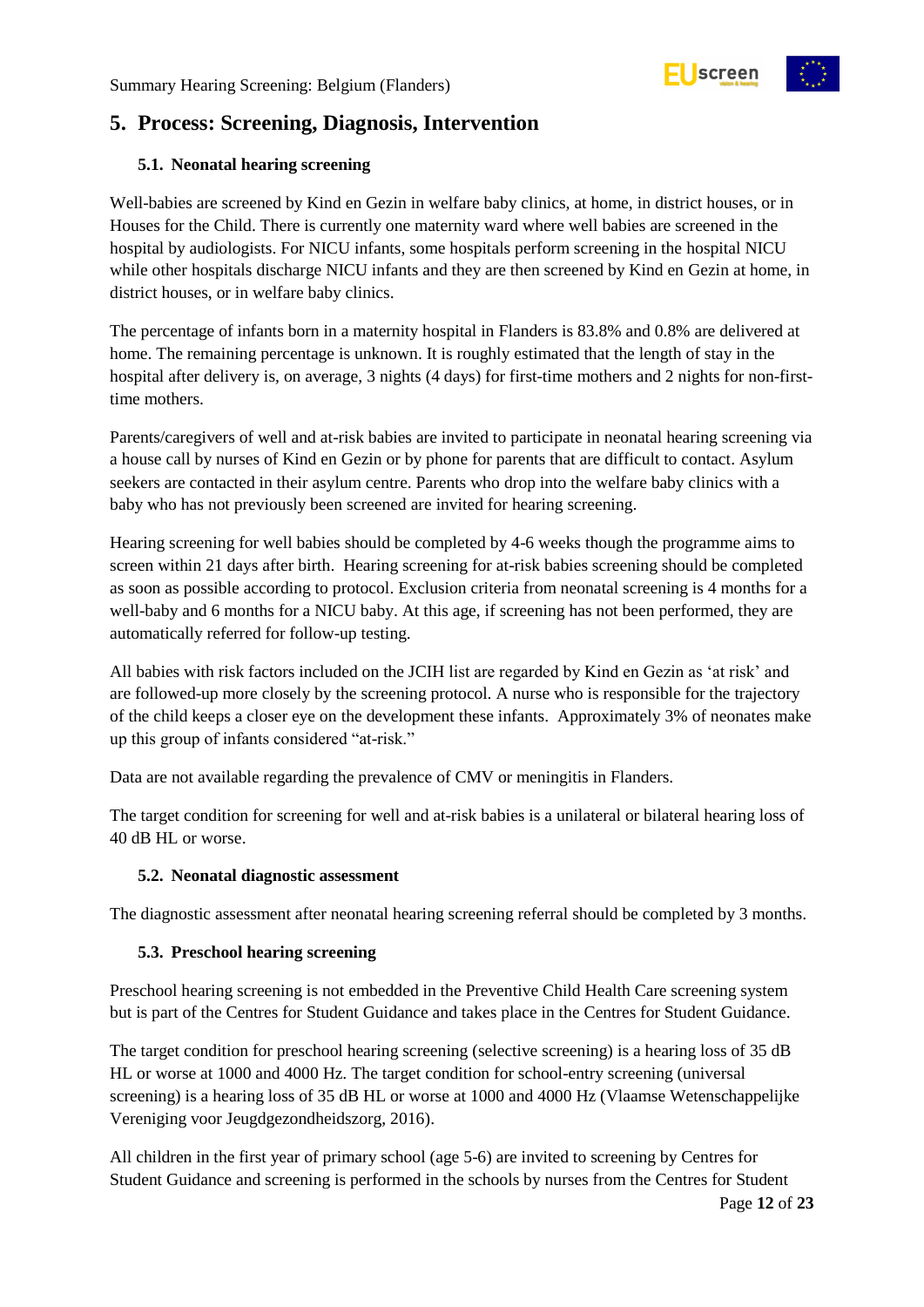

## <span id="page-11-0"></span>**5. Process: Screening, Diagnosis, Intervention**

#### <span id="page-11-1"></span>**5.1. Neonatal hearing screening**

Well-babies are screened by Kind en Gezin in welfare baby clinics, at home, in district houses, or in Houses for the Child. There is currently one maternity ward where well babies are screened in the hospital by audiologists. For NICU infants, some hospitals perform screening in the hospital NICU while other hospitals discharge NICU infants and they are then screened by Kind en Gezin at home, in district houses, or in welfare baby clinics.

The percentage of infants born in a maternity hospital in Flanders is 83.8% and 0.8% are delivered at home. The remaining percentage is unknown. It is roughly estimated that the length of stay in the hospital after delivery is, on average, 3 nights (4 days) for first-time mothers and 2 nights for non-firsttime mothers.

Parents/caregivers of well and at-risk babies are invited to participate in neonatal hearing screening via a house call by nurses of Kind en Gezin or by phone for parents that are difficult to contact. Asylum seekers are contacted in their asylum centre. Parents who drop into the welfare baby clinics with a baby who has not previously been screened are invited for hearing screening.

Hearing screening for well babies should be completed by 4-6 weeks though the programme aims to screen within 21 days after birth. Hearing screening for at-risk babies screening should be completed as soon as possible according to protocol. Exclusion criteria from neonatal screening is 4 months for a well-baby and 6 months for a NICU baby. At this age, if screening has not been performed, they are automatically referred for follow-up testing.

All babies with risk factors included on the JCIH list are regarded by Kind en Gezin as 'at risk' and are followed-up more closely by the screening protocol. A nurse who is responsible for the trajectory of the child keeps a closer eye on the development these infants. Approximately 3% of neonates make up this group of infants considered "at-risk."

Data are not available regarding the prevalence of CMV or meningitis in Flanders.

The target condition for screening for well and at-risk babies is a unilateral or bilateral hearing loss of 40 dB HL or worse.

#### <span id="page-11-2"></span>**5.2. Neonatal diagnostic assessment**

The diagnostic assessment after neonatal hearing screening referral should be completed by 3 months.

#### <span id="page-11-3"></span>**5.3. Preschool hearing screening**

Preschool hearing screening is not embedded in the Preventive Child Health Care screening system but is part of the Centres for Student Guidance and takes place in the Centres for Student Guidance.

The target condition for preschool hearing screening (selective screening) is a hearing loss of 35 dB HL or worse at 1000 and 4000 Hz. The target condition for school-entry screening (universal screening) is a hearing loss of 35 dB HL or worse at 1000 and 4000 Hz (Vlaamse Wetenschappelijke Vereniging voor Jeugdgezondheidszorg, 2016).

All children in the first year of primary school (age 5-6) are invited to screening by Centres for Student Guidance and screening is performed in the schools by nurses from the Centres for Student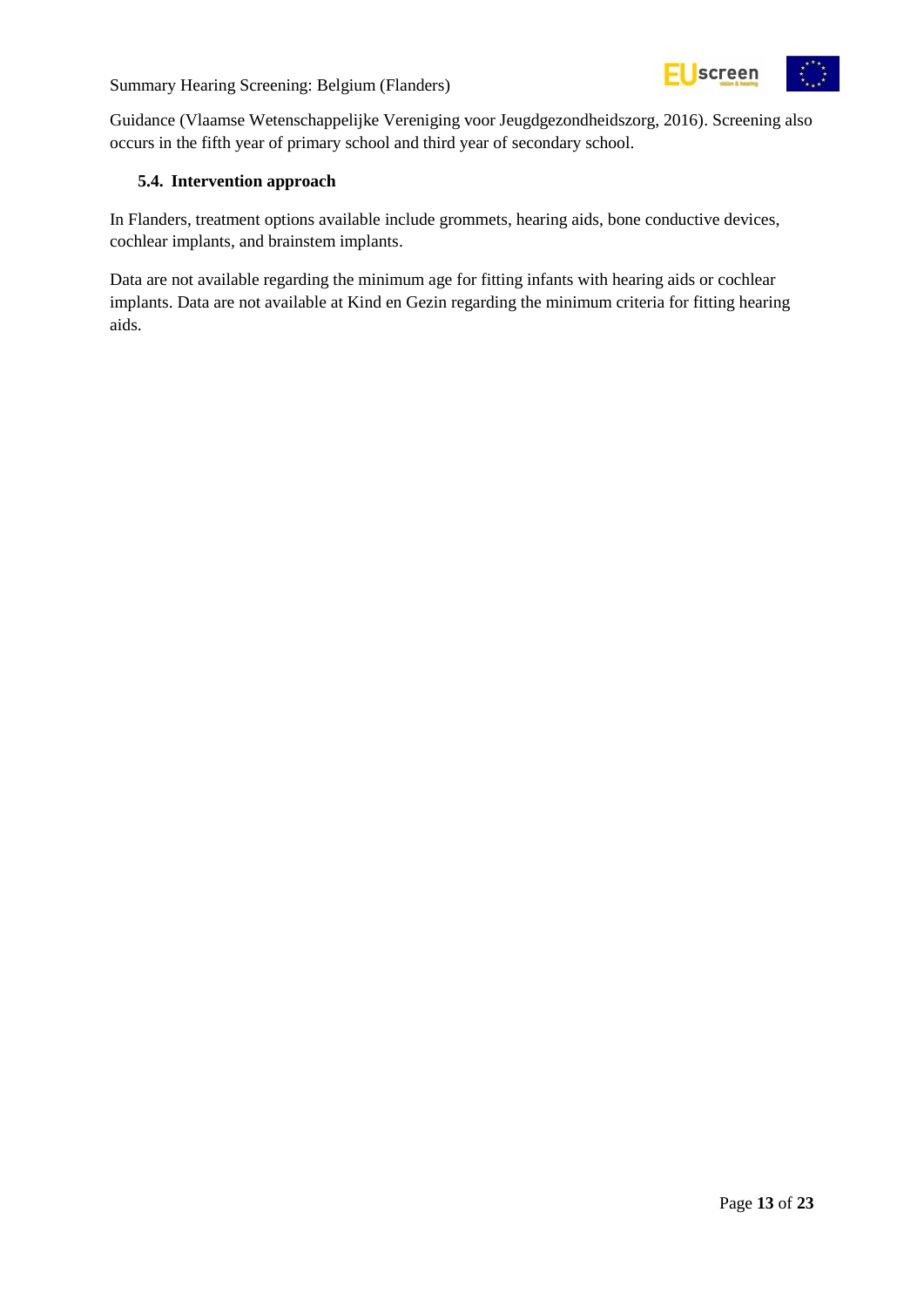

Guidance (Vlaamse Wetenschappelijke Vereniging voor Jeugdgezondheidszorg, 2016). Screening also occurs in the fifth year of primary school and third year of secondary school.

#### <span id="page-12-0"></span>**5.4. Intervention approach**

In Flanders, treatment options available include grommets, hearing aids, bone conductive devices, cochlear implants, and brainstem implants.

Data are not available regarding the minimum age for fitting infants with hearing aids or cochlear implants. Data are not available at Kind en Gezin regarding the minimum criteria for fitting hearing aids.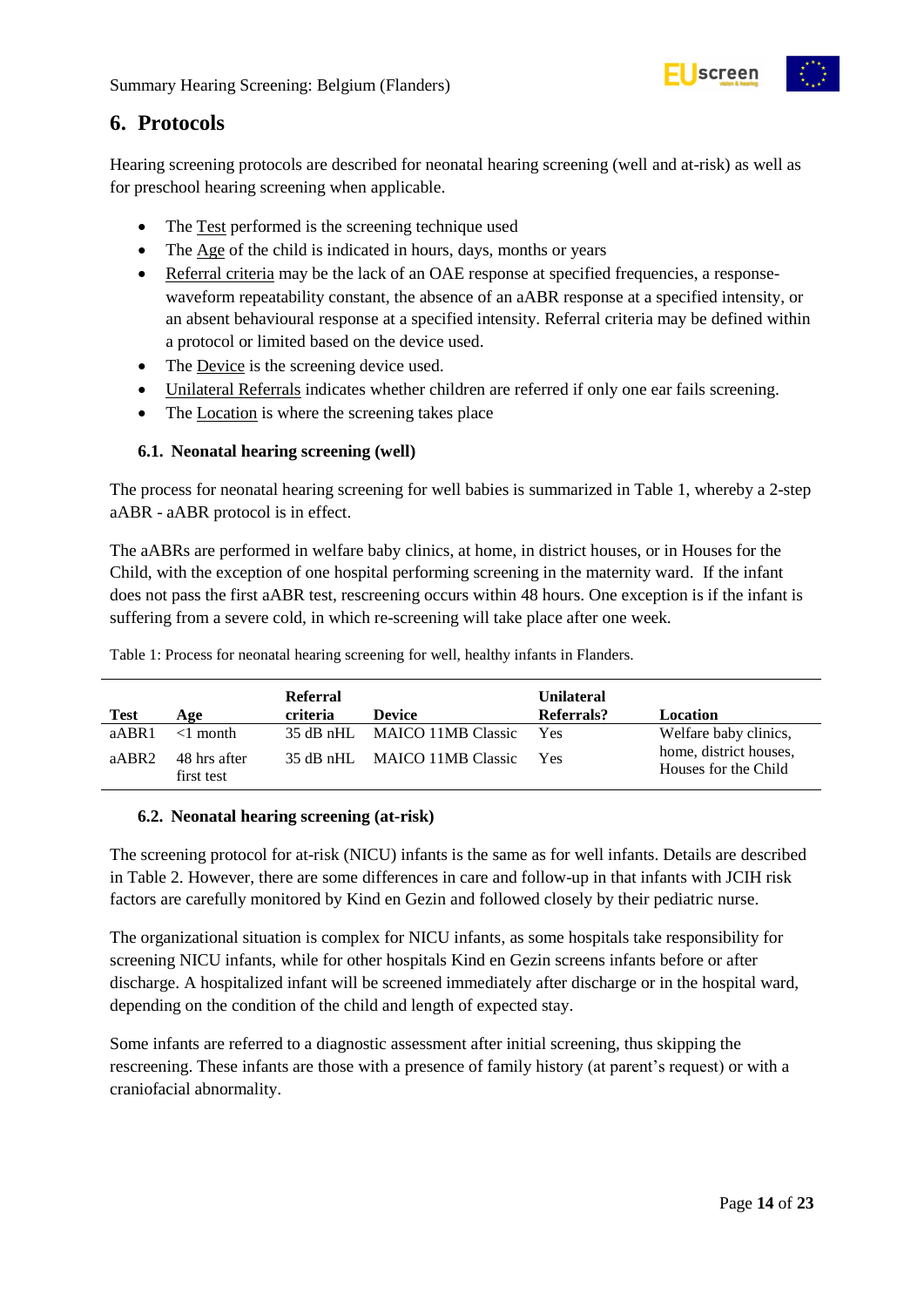

### <span id="page-13-0"></span>**6. Protocols**

Hearing screening protocols are described for neonatal hearing screening (well and at-risk) as well as for preschool hearing screening when applicable.

- The Test performed is the screening technique used
- The Age of the child is indicated in hours, days, months or years
- Referral criteria may be the lack of an OAE response at specified frequencies, a responsewaveform repeatability constant, the absence of an aABR response at a specified intensity, or an absent behavioural response at a specified intensity. Referral criteria may be defined within a protocol or limited based on the device used.
- The Device is the screening device used.
- Unilateral Referrals indicates whether children are referred if only one ear fails screening.
- The Location is where the screening takes place

#### <span id="page-13-1"></span>**6.1. Neonatal hearing screening (well)**

The process for neonatal hearing screening for well babies is summarized in Table 1, whereby a 2-step aABR - aABR protocol is in effect.

The aABRs are performed in welfare baby clinics, at home, in district houses, or in Houses for the Child, with the exception of one hospital performing screening in the maternity ward. If the infant does not pass the first aABR test, rescreening occurs within 48 hours. One exception is if the infant is suffering from a severe cold, in which re-screening will take place after one week.

**Test Age Referral criteria Device Unilateral Referrals? Location** aABR1 <1 month 35 dB nHL MAICO 11MB Classic Yes Welfare baby clinics, home, district houses, Houses for the Child aABR2 48 hrs after first test 35 dB nHL MAICO 11MB Classic Yes

<span id="page-13-3"></span>Table 1: Process for neonatal hearing screening for well, healthy infants in Flanders.

#### <span id="page-13-2"></span>**6.2. Neonatal hearing screening (at-risk)**

The screening protocol for at-risk (NICU) infants is the same as for well infants. Details are described in Table 2. However, there are some differences in care and follow-up in that infants with JCIH risk factors are carefully monitored by Kind en Gezin and followed closely by their pediatric nurse.

The organizational situation is complex for NICU infants, as some hospitals take responsibility for screening NICU infants, while for other hospitals Kind en Gezin screens infants before or after discharge. A hospitalized infant will be screened immediately after discharge or in the hospital ward, depending on the condition of the child and length of expected stay.

Some infants are referred to a diagnostic assessment after initial screening, thus skipping the rescreening. These infants are those with a presence of family history (at parent's request) or with a craniofacial abnormality.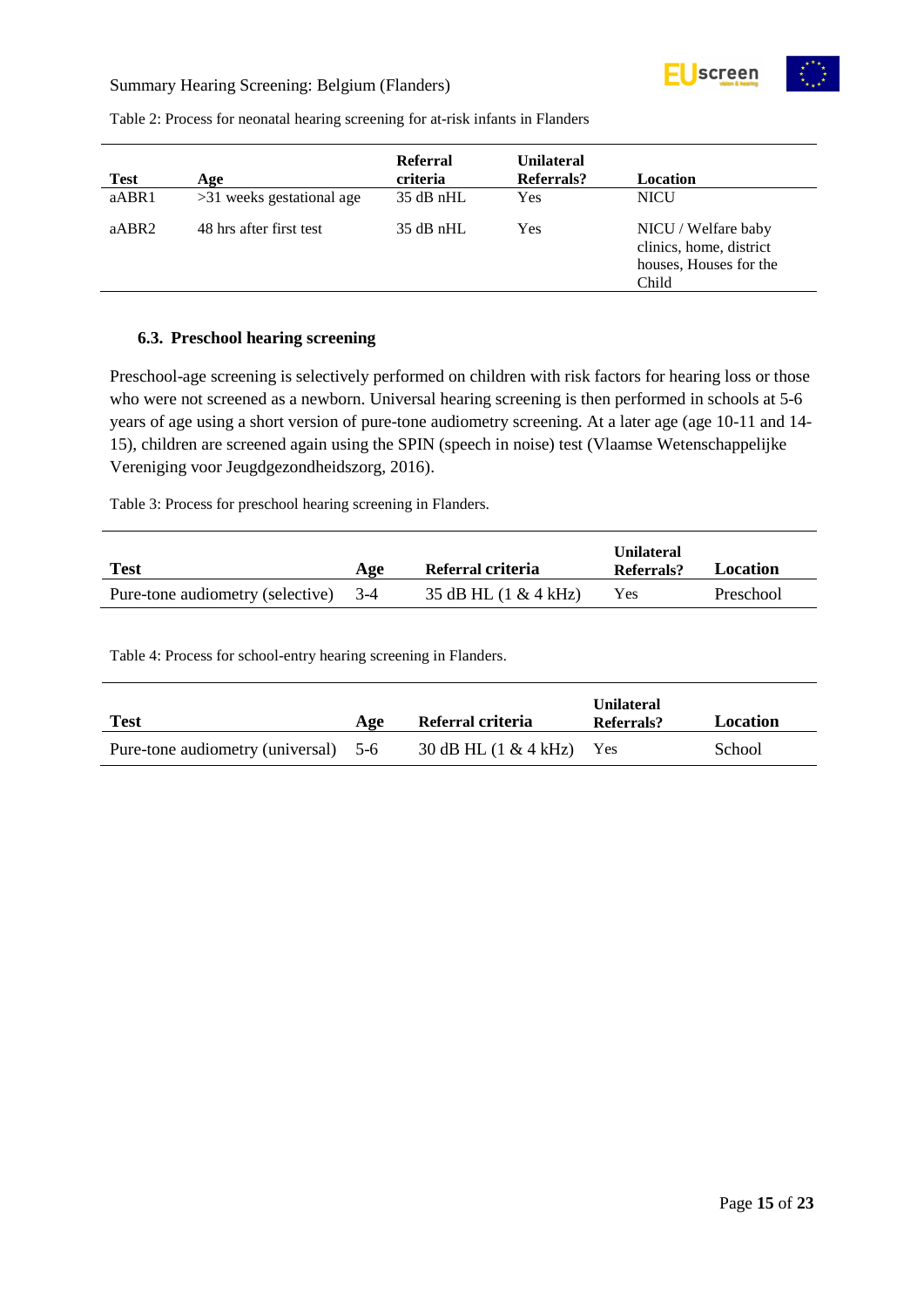

<span id="page-14-1"></span>Table 2: Process for neonatal hearing screening for at-risk infants in Flanders

| <b>Test</b> | Age                       | <b>Referral</b><br>criteria | <b>Unilateral</b><br>Referrals? | Location                                                                          |
|-------------|---------------------------|-----------------------------|---------------------------------|-----------------------------------------------------------------------------------|
| aABR1       | >31 weeks gestational age | $35$ dB nHL                 | Yes                             | <b>NICU</b>                                                                       |
| aABR2       | 48 hrs after first test   | $35$ dB nHL                 | Yes                             | NICU / Welfare baby<br>clinics, home, district<br>houses, Houses for the<br>Child |

#### <span id="page-14-0"></span>**6.3. Preschool hearing screening**

Preschool-age screening is selectively performed on children with risk factors for hearing loss or those who were not screened as a newborn. Universal hearing screening is then performed in schools at 5-6 years of age using a short version of pure-tone audiometry screening. At a later age (age 10-11 and 14- 15), children are screened again using the SPIN (speech in noise) test (Vlaamse Wetenschappelijke Vereniging voor Jeugdgezondheidszorg, 2016).

<span id="page-14-2"></span>Table 3: Process for preschool hearing screening in Flanders.

| <b>Test</b>                          | Age | Referral criteria       | <b>Unilateral</b><br>Referrals? | <b>Location</b> |
|--------------------------------------|-----|-------------------------|---------------------------------|-----------------|
| Pure-tone audiometry (selective) 3-4 |     | 35 dB HL $(1 & 4k$ kHz) | Yes                             | Preschool       |

<span id="page-14-3"></span>Table 4: Process for school-entry hearing screening in Flanders.

| <b>Test</b>                          | Age | Referral criteria              | <b>Unilateral</b><br>Referrals? | Location |
|--------------------------------------|-----|--------------------------------|---------------------------------|----------|
| Pure-tone audiometry (universal) 5-6 |     | 30 dB HL $(1 & 4 \text{ kHz})$ | Yes                             | School   |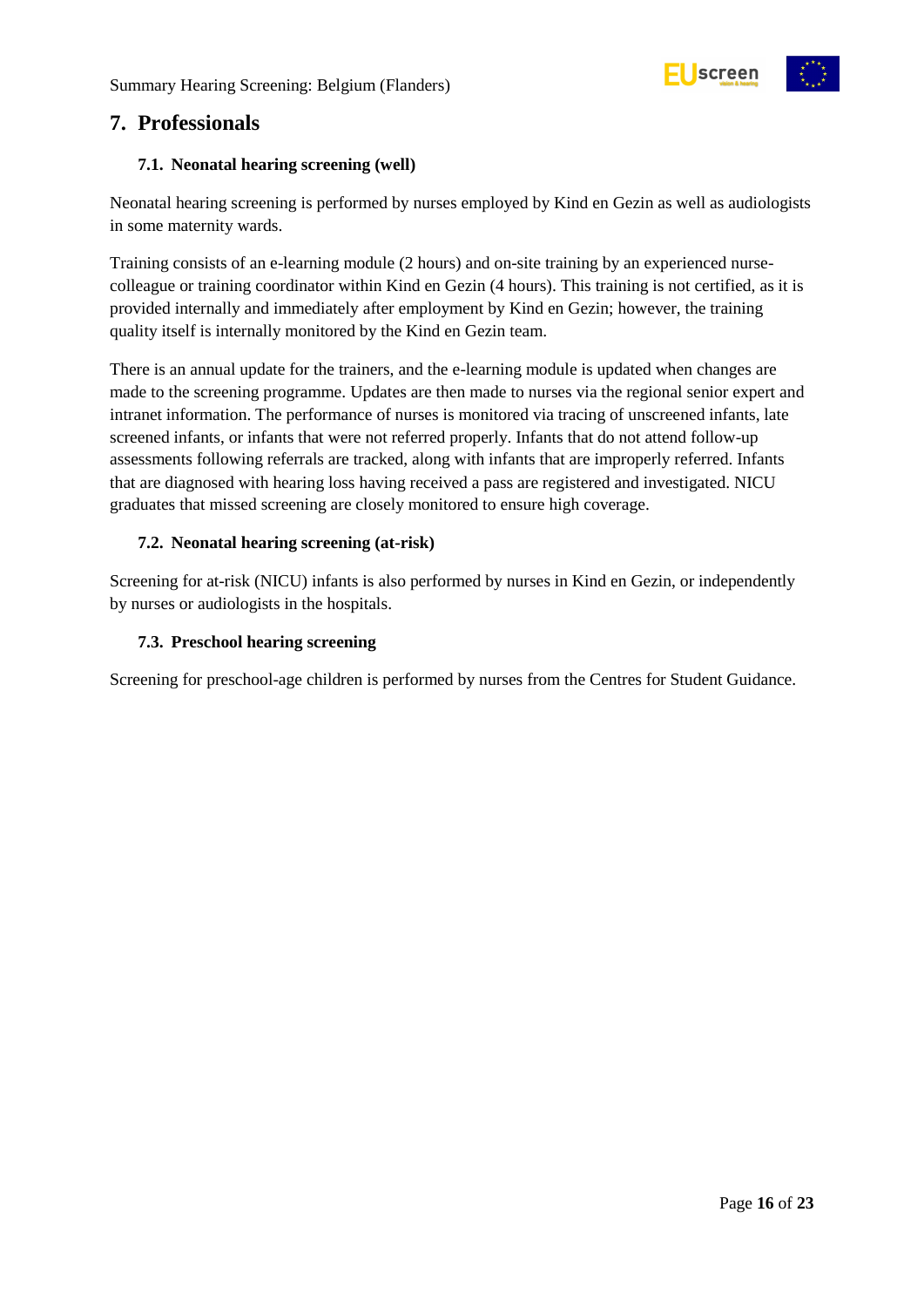



### <span id="page-15-0"></span>**7. Professionals**

#### <span id="page-15-1"></span>**7.1. Neonatal hearing screening (well)**

Neonatal hearing screening is performed by nurses employed by Kind en Gezin as well as audiologists in some maternity wards.

Training consists of an e-learning module (2 hours) and on-site training by an experienced nursecolleague or training coordinator within Kind en Gezin (4 hours). This training is not certified, as it is provided internally and immediately after employment by Kind en Gezin; however, the training quality itself is internally monitored by the Kind en Gezin team.

There is an annual update for the trainers, and the e-learning module is updated when changes are made to the screening programme. Updates are then made to nurses via the regional senior expert and intranet information. The performance of nurses is monitored via tracing of unscreened infants, late screened infants, or infants that were not referred properly. Infants that do not attend follow-up assessments following referrals are tracked, along with infants that are improperly referred. Infants that are diagnosed with hearing loss having received a pass are registered and investigated. NICU graduates that missed screening are closely monitored to ensure high coverage.

#### <span id="page-15-2"></span>**7.2. Neonatal hearing screening (at-risk)**

Screening for at-risk (NICU) infants is also performed by nurses in Kind en Gezin, or independently by nurses or audiologists in the hospitals.

#### <span id="page-15-3"></span>**7.3. Preschool hearing screening**

Screening for preschool-age children is performed by nurses from the Centres for Student Guidance.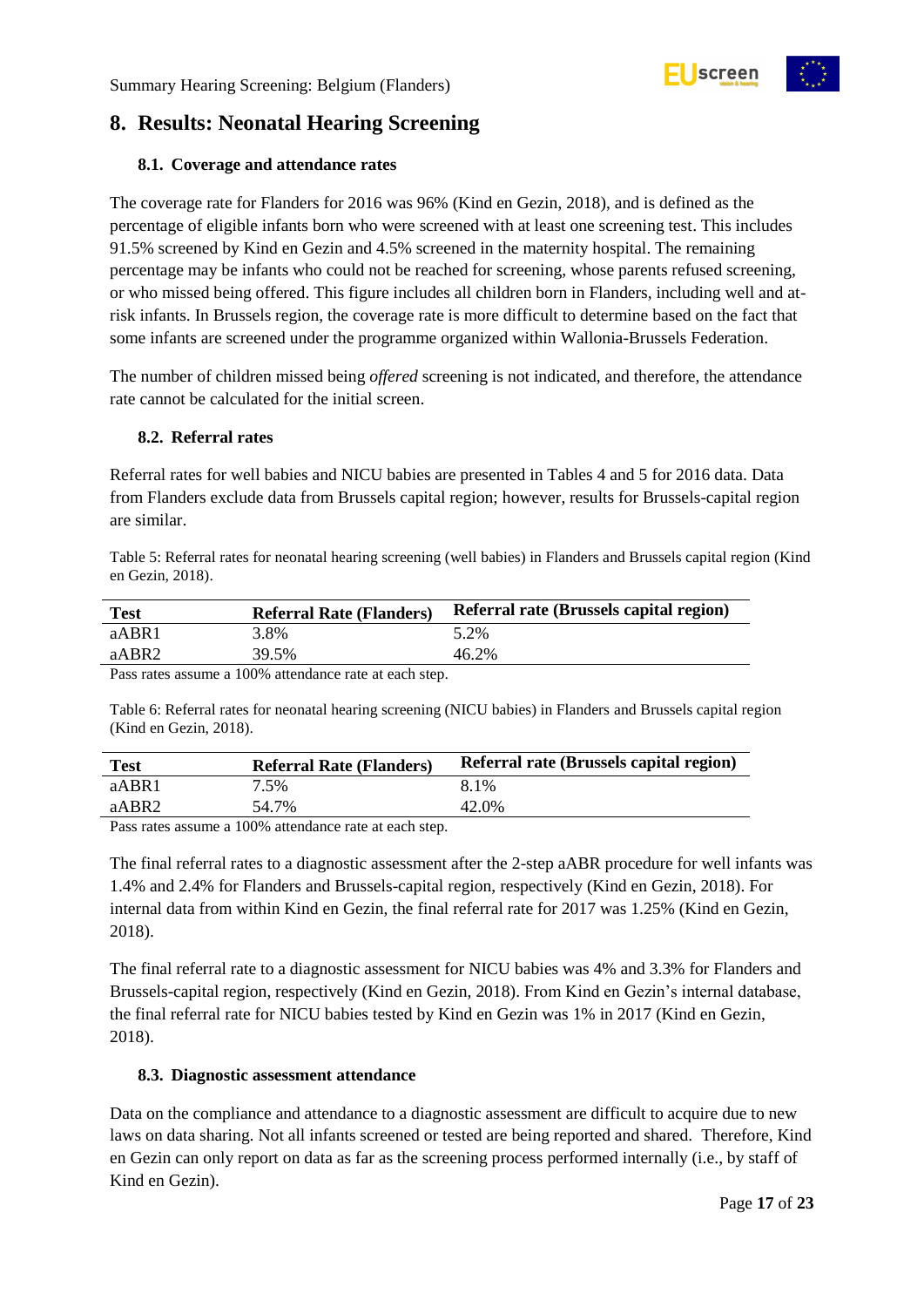## <span id="page-16-0"></span>**8. Results: Neonatal Hearing Screening**

#### <span id="page-16-1"></span>**8.1. Coverage and attendance rates**

The coverage rate for Flanders for 2016 was 96% (Kind en Gezin, 2018), and is defined as the percentage of eligible infants born who were screened with at least one screening test. This includes 91.5% screened by Kind en Gezin and 4.5% screened in the maternity hospital. The remaining percentage may be infants who could not be reached for screening, whose parents refused screening, or who missed being offered. This figure includes all children born in Flanders, including well and atrisk infants. In Brussels region, the coverage rate is more difficult to determine based on the fact that some infants are screened under the programme organized within Wallonia-Brussels Federation.

The number of children missed being *offered* screening is not indicated, and therefore, the attendance rate cannot be calculated for the initial screen.

#### <span id="page-16-2"></span>**8.2. Referral rates**

Referral rates for well babies and NICU babies are presented in Tables 4 and 5 for 2016 data. Data from Flanders exclude data from Brussels capital region; however, results for Brussels-capital region are similar.

<span id="page-16-4"></span>Table 5: Referral rates for neonatal hearing screening (well babies) in Flanders and Brussels capital region (Kind en Gezin, 2018).

| <b>Test</b>  | <b>Referral Rate (Flanders)</b> | Referral rate (Brussels capital region) |
|--------------|---------------------------------|-----------------------------------------|
| aABR1        | 3.8%                            | 5.2%                                    |
| aABR2        | 39.5%                           | 46.2%                                   |
| $\mathbf{r}$ | $10001 \t 1 \t 1 \t 1 \t 1$     |                                         |

Pass rates assume a 100% attendance rate at each step.

<span id="page-16-5"></span>Table 6: Referral rates for neonatal hearing screening (NICU babies) in Flanders and Brussels capital region (Kind en Gezin, 2018).

| <b>Test</b> | <b>Referral Rate (Flanders)</b> | Referral rate (Brussels capital region) |
|-------------|---------------------------------|-----------------------------------------|
| aABR1       | 7.5%                            | 8.1%                                    |
| aABR2       | 54.7%                           | 42.0%                                   |
|             | $\overline{1000}$               |                                         |

Pass rates assume a 100% attendance rate at each step.

The final referral rates to a diagnostic assessment after the 2-step aABR procedure for well infants was 1.4% and 2.4% for Flanders and Brussels-capital region, respectively (Kind en Gezin, 2018). For internal data from within Kind en Gezin, the final referral rate for 2017 was 1.25% (Kind en Gezin, 2018).

The final referral rate to a diagnostic assessment for NICU babies was 4% and 3.3% for Flanders and Brussels-capital region, respectively (Kind en Gezin, 2018). From Kind en Gezin's internal database, the final referral rate for NICU babies tested by Kind en Gezin was 1% in 2017 (Kind en Gezin, 2018).

#### <span id="page-16-3"></span>**8.3. Diagnostic assessment attendance**

Data on the compliance and attendance to a diagnostic assessment are difficult to acquire due to new laws on data sharing. Not all infants screened or tested are being reported and shared. Therefore, Kind en Gezin can only report on data as far as the screening process performed internally (i.e., by staff of Kind en Gezin).



screen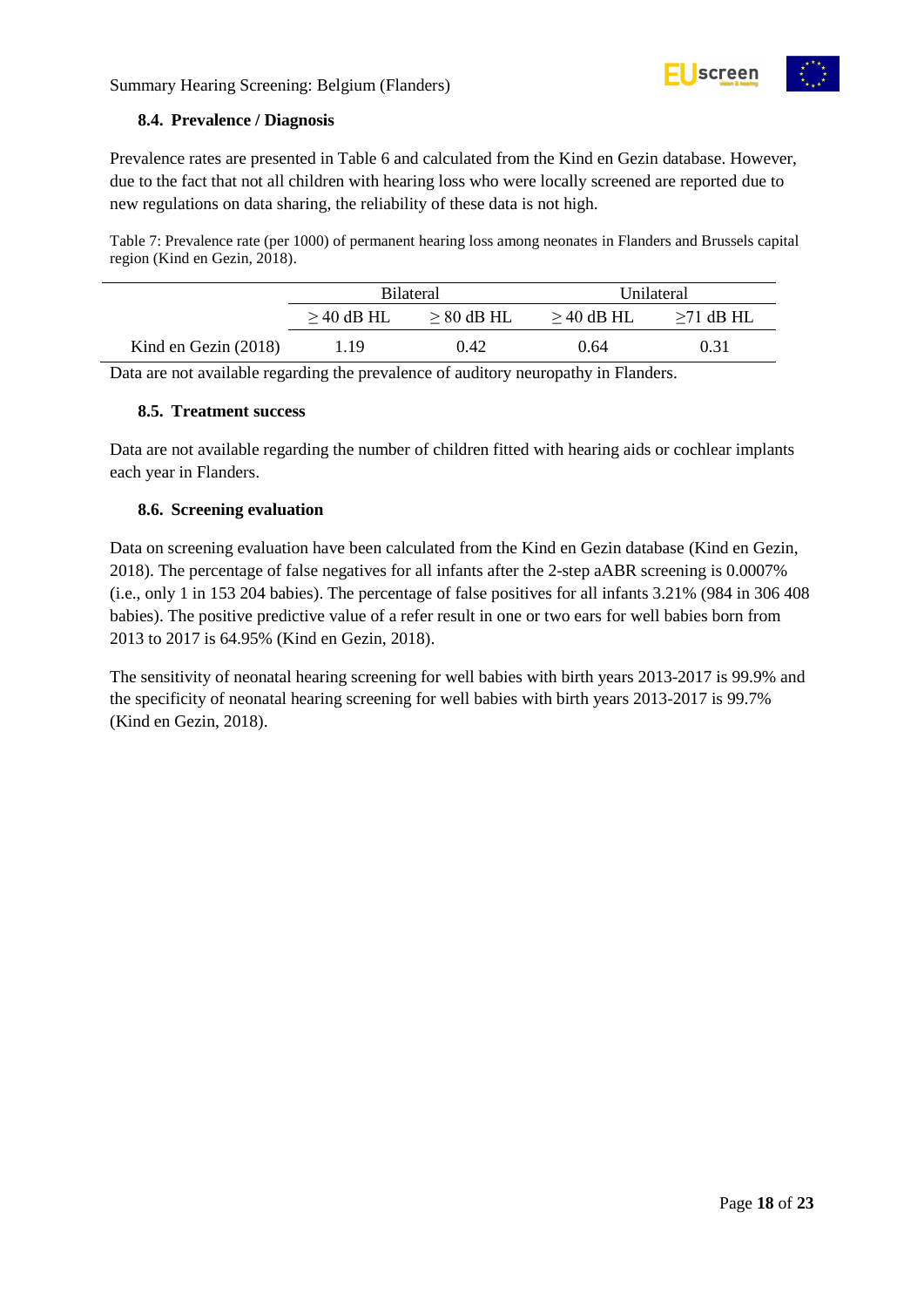#### <span id="page-17-0"></span>**8.4. Prevalence / Diagnosis**

Prevalence rates are presented in Table 6 and calculated from the Kind en Gezin database. However, due to the fact that not all children with hearing loss who were locally screened are reported due to new regulations on data sharing, the reliability of these data is not high.

<span id="page-17-3"></span>Table 7: Prevalence rate (per 1000) of permanent hearing loss among neonates in Flanders and Brussels capital region (Kind en Gezin, 2018).

|                        | <b>Bilateral</b> |                 | Unilateral   |                 |
|------------------------|------------------|-----------------|--------------|-----------------|
|                        | $\geq$ 40 dB HL  | $\geq 80$ dB HL | $>$ 40 dB HL | $\geq$ 71 dB HL |
| Kind en Gezin $(2018)$ | 1.19             | 0.42            | 0.64         | 0.31            |

Data are not available regarding the prevalence of auditory neuropathy in Flanders.

#### <span id="page-17-1"></span>**8.5. Treatment success**

Data are not available regarding the number of children fitted with hearing aids or cochlear implants each year in Flanders.

#### <span id="page-17-2"></span>**8.6. Screening evaluation**

Data on screening evaluation have been calculated from the Kind en Gezin database (Kind en Gezin, 2018). The percentage of false negatives for all infants after the 2-step aABR screening is 0.0007% (i.e., only 1 in 153 204 babies). The percentage of false positives for all infants 3.21% (984 in 306 408 babies). The positive predictive value of a refer result in one or two ears for well babies born from 2013 to 2017 is 64.95% (Kind en Gezin, 2018).

The sensitivity of neonatal hearing screening for well babies with birth years 2013-2017 is 99.9% and the specificity of neonatal hearing screening for well babies with birth years 2013-2017 is 99.7% (Kind en Gezin, 2018).

screen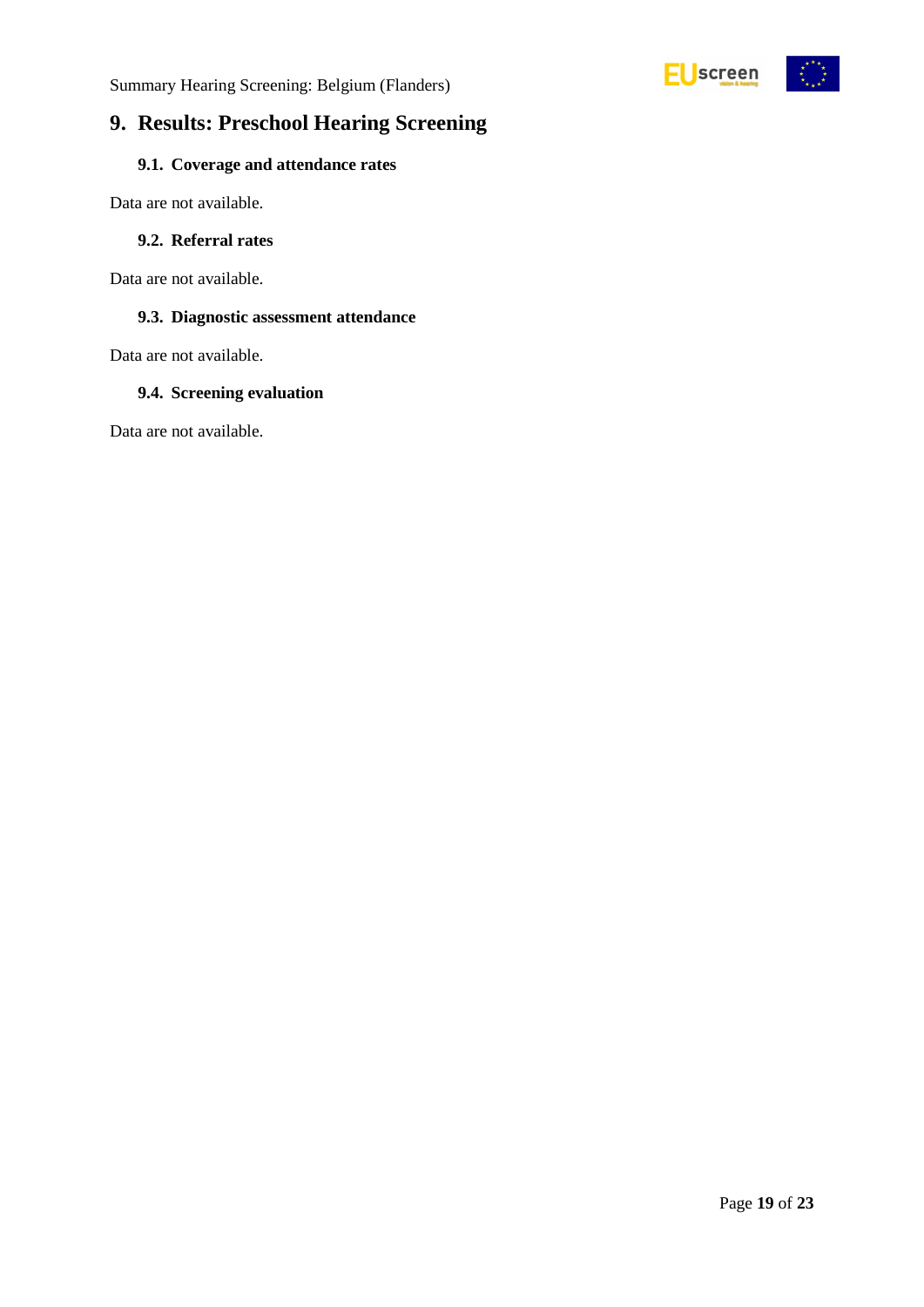



## <span id="page-18-0"></span>**9. Results: Preschool Hearing Screening**

### <span id="page-18-1"></span>**9.1. Coverage and attendance rates**

Data are not available.

#### <span id="page-18-2"></span>**9.2. Referral rates**

Data are not available.

#### <span id="page-18-3"></span>**9.3. Diagnostic assessment attendance**

Data are not available.

#### <span id="page-18-4"></span>**9.4. Screening evaluation**

Data are not available.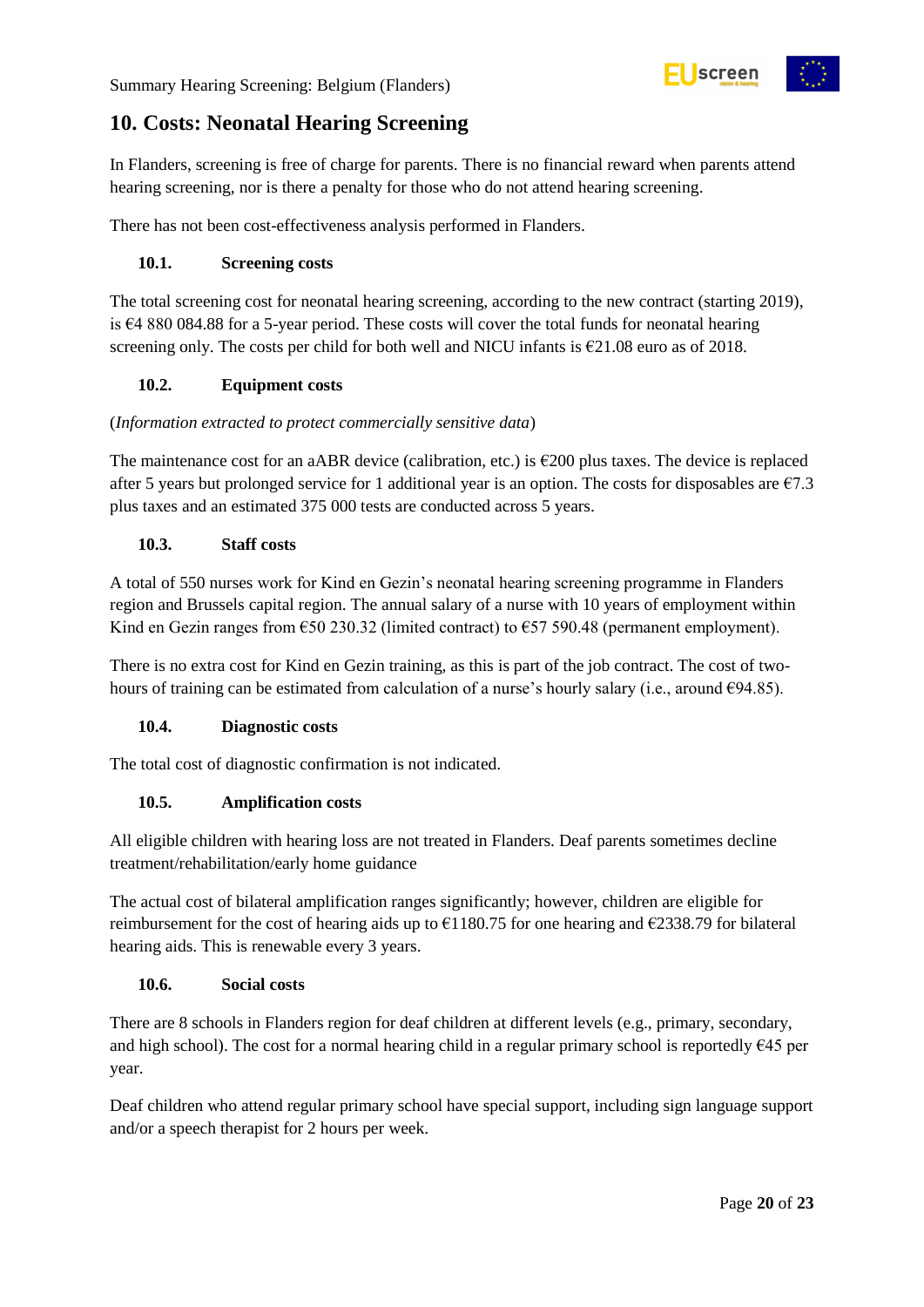# screen

## <span id="page-19-0"></span>**10. Costs: Neonatal Hearing Screening**

In Flanders, screening is free of charge for parents. There is no financial reward when parents attend hearing screening, nor is there a penalty for those who do not attend hearing screening.

There has not been cost-effectiveness analysis performed in Flanders.

#### <span id="page-19-1"></span>**10.1. Screening costs**

The total screening cost for neonatal hearing screening, according to the new contract (starting 2019), is €4 880 084.88 for a 5-year period. These costs will cover the total funds for neonatal hearing screening only. The costs per child for both well and NICU infants is  $\epsilon$ 21.08 euro as of 2018.

#### <span id="page-19-2"></span>**10.2. Equipment costs**

#### (*Information extracted to protect commercially sensitive data*)

The maintenance cost for an aABR device (calibration, etc.) is  $\epsilon$ 200 plus taxes. The device is replaced after 5 years but prolonged service for 1 additional year is an option. The costs for disposables are  $\epsilon$ 7.3 plus taxes and an estimated 375 000 tests are conducted across 5 years.

#### <span id="page-19-3"></span>**10.3. Staff costs**

A total of 550 nurses work for Kind en Gezin's neonatal hearing screening programme in Flanders region and Brussels capital region. The annual salary of a nurse with 10 years of employment within Kind en Gezin ranges from  $\epsilon$ 50 230.32 (limited contract) to  $\epsilon$ 57 590.48 (permanent employment).

There is no extra cost for Kind en Gezin training, as this is part of the job contract. The cost of twohours of training can be estimated from calculation of a nurse's hourly salary (i.e., around  $\epsilon$ 94.85).

#### <span id="page-19-4"></span>**10.4. Diagnostic costs**

The total cost of diagnostic confirmation is not indicated.

#### <span id="page-19-5"></span>**10.5. Amplification costs**

All eligible children with hearing loss are not treated in Flanders. Deaf parents sometimes decline treatment/rehabilitation/early home guidance

The actual cost of bilateral amplification ranges significantly; however, children are eligible for reimbursement for the cost of hearing aids up to  $\epsilon$ 1180.75 for one hearing and  $\epsilon$ 2338.79 for bilateral hearing aids. This is renewable every 3 years.

#### <span id="page-19-6"></span>**10.6. Social costs**

There are 8 schools in Flanders region for deaf children at different levels (e.g., primary, secondary, and high school). The cost for a normal hearing child in a regular primary school is reportedly  $645$  per year.

Deaf children who attend regular primary school have special support, including sign language support and/or a speech therapist for 2 hours per week.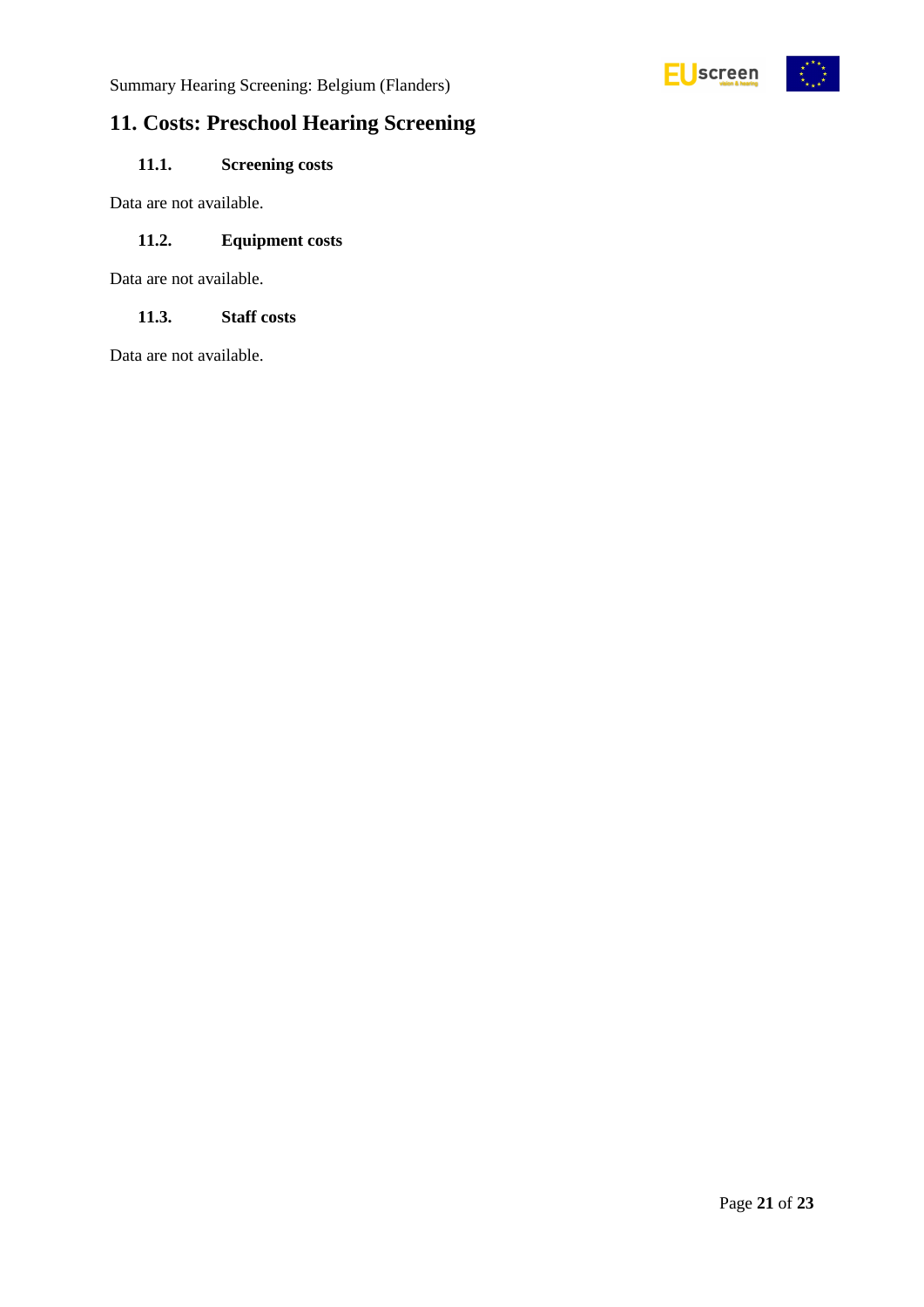



## <span id="page-20-0"></span>**11. Costs: Preschool Hearing Screening**

### <span id="page-20-1"></span>**11.1. Screening costs**

Data are not available.

#### <span id="page-20-2"></span>**11.2. Equipment costs**

Data are not available.

#### <span id="page-20-3"></span>**11.3. Staff costs**

Data are not available.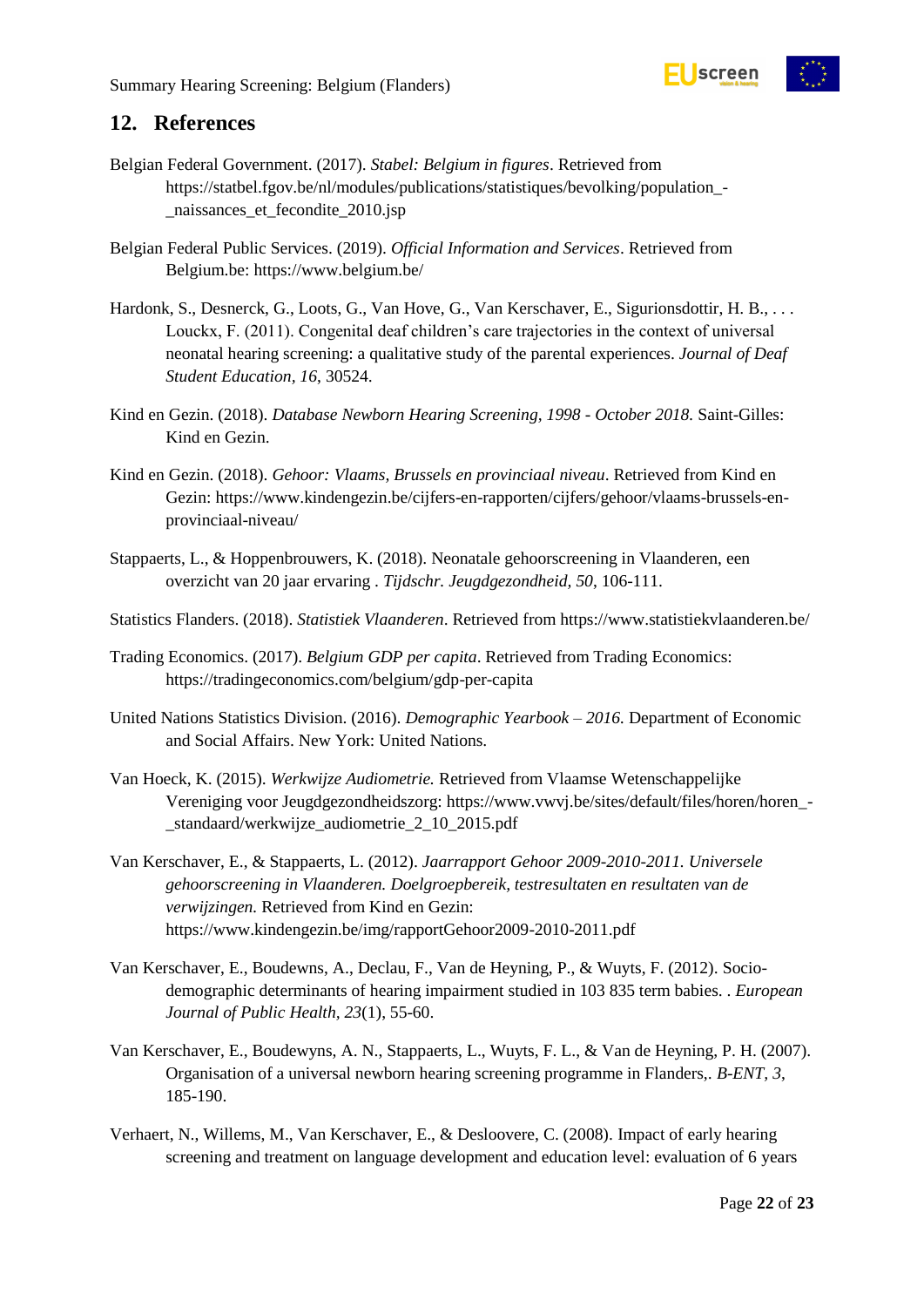

### <span id="page-21-0"></span>**12. References**

- Belgian Federal Government. (2017). *Stabel: Belgium in figures*. Retrieved from https://statbel.fgov.be/nl/modules/publications/statistiques/bevolking/population\_- \_naissances\_et\_fecondite\_2010.jsp
- Belgian Federal Public Services. (2019). *Official Information and Services*. Retrieved from Belgium.be: https://www.belgium.be/
- Hardonk, S., Desnerck, G., Loots, G., Van Hove, G., Van Kerschaver, E., Sigurionsdottir, H. B., . . . Louckx, F. (2011). Congenital deaf children's care trajectories in the context of universal neonatal hearing screening: a qualitative study of the parental experiences. *Journal of Deaf Student Education, 16*, 30524.
- Kind en Gezin. (2018). *Database Newborn Hearing Screening, 1998 - October 2018.* Saint-Gilles: Kind en Gezin.
- Kind en Gezin. (2018). *Gehoor: Vlaams, Brussels en provinciaal niveau*. Retrieved from Kind en Gezin: https://www.kindengezin.be/cijfers-en-rapporten/cijfers/gehoor/vlaams-brussels-enprovinciaal-niveau/
- Stappaerts, L., & Hoppenbrouwers, K. (2018). Neonatale gehoorscreening in Vlaanderen, een overzicht van 20 jaar ervaring . *Tijdschr. Jeugdgezondheid, 50*, 106-111.
- Statistics Flanders. (2018). *Statistiek Vlaanderen*. Retrieved from https://www.statistiekvlaanderen.be/
- Trading Economics. (2017). *Belgium GDP per capita*. Retrieved from Trading Economics: https://tradingeconomics.com/belgium/gdp-per-capita
- United Nations Statistics Division. (2016). *Demographic Yearbook – 2016.* Department of Economic and Social Affairs. New York: United Nations.
- Van Hoeck, K. (2015). *Werkwijze Audiometrie.* Retrieved from Vlaamse Wetenschappelijke Vereniging voor Jeugdgezondheidszorg: https://www.vwvj.be/sites/default/files/horen/horen\_- \_standaard/werkwijze\_audiometrie\_2\_10\_2015.pdf
- Van Kerschaver, E., & Stappaerts, L. (2012). *Jaarrapport Gehoor 2009-2010-2011. Universele gehoorscreening in Vlaanderen. Doelgroepbereik, testresultaten en resultaten van de verwijzingen.* Retrieved from Kind en Gezin: https://www.kindengezin.be/img/rapportGehoor2009-2010-2011.pdf
- Van Kerschaver, E., Boudewns, A., Declau, F., Van de Heyning, P., & Wuyts, F. (2012). Sociodemographic determinants of hearing impairment studied in 103 835 term babies. . *European Journal of Public Health, 23*(1), 55-60.
- Van Kerschaver, E., Boudewyns, A. N., Stappaerts, L., Wuyts, F. L., & Van de Heyning, P. H. (2007). Organisation of a universal newborn hearing screening programme in Flanders,. *B-ENT, 3*, 185-190.
- Verhaert, N., Willems, M., Van Kerschaver, E., & Desloovere, C. (2008). Impact of early hearing screening and treatment on language development and education level: evaluation of 6 years